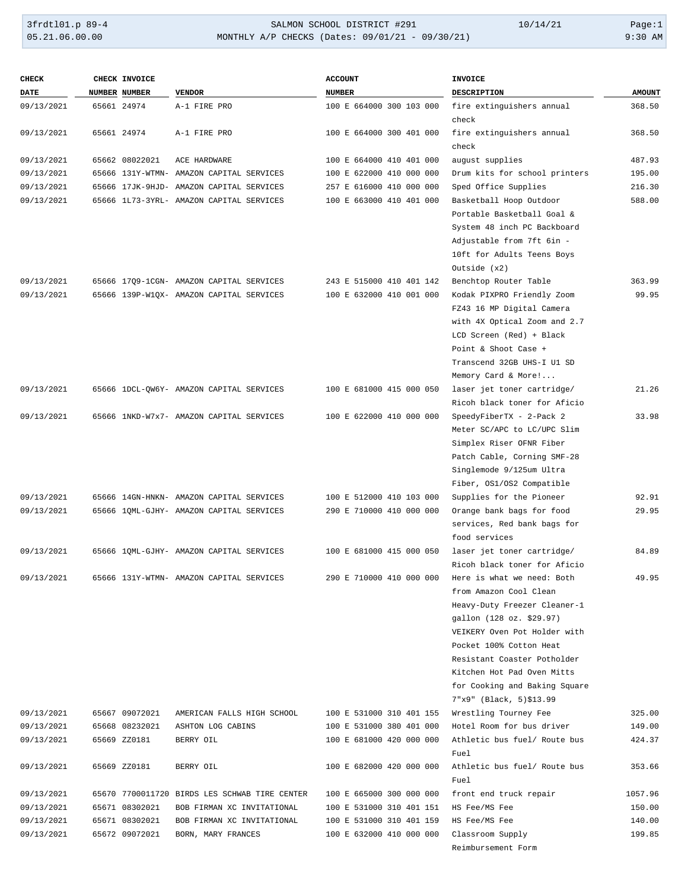# 3frdtl01.p 89-4 SALMON SCHOOL DISTRICT #291 10/14/21 Page:1 MONTHLY A/P CHECKS (Dates: 09/01/21 - 09/30/21)

| <b>DATE</b><br>NUMBER NUMBER<br><b>VENDOR</b><br><b>NUMBER</b><br><b>DESCRIPTION</b><br><b>AMOUNT</b><br>65661 24974<br>fire extinguishers annual<br>368.50<br>09/13/2021<br>A-1 FIRE PRO<br>100 E 664000 300 103 000<br>check<br>100 E 664000 300 401 000<br>fire extinguishers annual<br>09/13/2021<br>65661 24974<br>A-1 FIRE PRO<br>368.50<br>check<br>65662 08022021<br>100 E 664000 410 401 000<br>august supplies<br>487.93<br>09/13/2021<br>ACE HARDWARE<br>09/13/2021<br>100 E 622000 410 000 000<br>Drum kits for school printers<br>195.00<br>65666 131Y-WTMN- AMAZON CAPITAL SERVICES<br>09/13/2021<br>257 E 616000 410 000 000<br>Sped Office Supplies<br>216.30<br>65666 17JK-9HJD- AMAZON CAPITAL SERVICES<br>588.00<br>09/13/2021<br>65666 1L73-3YRL- AMAZON CAPITAL SERVICES<br>100 E 663000 410 401 000<br>Basketball Hoop Outdoor<br>Portable Basketball Goal &<br>System 48 inch PC Backboard<br>Adjustable from 7ft 6in -<br>10ft for Adults Teens Boys<br>Outside $(x2)$<br>243 E 515000 410 401 142<br>Benchtop Router Table<br>363.99<br>09/13/2021<br>65666 17Q9-1CGN- AMAZON CAPITAL SERVICES<br>Kodak PIXPRO Friendly Zoom<br>09/13/2021<br>65666 139P-W1QX- AMAZON CAPITAL SERVICES<br>100 E 632000 410 001 000<br>99.95<br>FZ43 16 MP Digital Camera<br>with 4X Optical Zoom and 2.7<br>LCD Screen (Red) + Black<br>Point & Shoot Case +<br>Transcend 32GB UHS-I U1 SD<br>Memory Card & More!<br>21.26<br>09/13/2021<br>65666 1DCL-QW6Y- AMAZON CAPITAL SERVICES<br>100 E 681000 415 000 050<br>laser jet toner cartridge/<br>Ricoh black toner for Aficio<br>09/13/2021<br>65666 1NKD-W7x7- AMAZON CAPITAL SERVICES<br>100 E 622000 410 000 000<br>SpeedyFiberTX - 2-Pack 2<br>33.98<br>Meter SC/APC to LC/UPC Slim<br>Simplex Riser OFNR Fiber<br>Patch Cable, Corning SMF-28<br>Singlemode 9/125um Ultra<br>Fiber, OS1/OS2 Compatible<br>09/13/2021<br>100 E 512000 410 103 000<br>Supplies for the Pioneer<br>92.91<br>65666 14GN-HNKN- AMAZON CAPITAL SERVICES<br>09/13/2021<br>65666 1QML-GJHY- AMAZON CAPITAL SERVICES<br>290 E 710000 410 000 000<br>Orange bank bags for food<br>29.95<br>services, Red bank bags for<br>food services<br>09/13/2021<br>65666 1QML-GJHY- AMAZON CAPITAL SERVICES<br>100 E 681000 415 000 050<br>laser jet toner cartridge/<br>84.89<br>Ricoh black toner for Aficio<br>09/13/2021<br>65666 131Y-WTMN- AMAZON CAPITAL SERVICES<br>290 E 710000 410 000 000<br>Here is what we need: Both<br>49.95<br>from Amazon Cool Clean<br>Heavy-Duty Freezer Cleaner-1<br>gallon (128 oz. \$29.97)<br>VEIKERY Oven Pot Holder with<br>Pocket 100% Cotton Heat<br>Resistant Coaster Potholder<br>Kitchen Hot Pad Oven Mitts<br>for Cooking and Baking Square<br>7"x9" (Black, 5)\$13.99<br>65667 09072021<br>Wrestling Tourney Fee<br>09/13/2021<br>AMERICAN FALLS HIGH SCHOOL<br>100 E 531000 310 401 155<br>325.00<br>Hotel Room for bus driver<br>09/13/2021<br>65668 08232021<br>ASHTON LOG CABINS<br>100 E 531000 380 401 000<br>149.00<br>Athletic bus fuel/ Route bus<br>09/13/2021<br>65669 ZZ0181<br>BERRY OIL<br>100 E 681000 420 000 000<br>424.37<br>Fuel<br>Athletic bus fuel/ Route bus<br>09/13/2021<br>65669 ZZ0181<br>BERRY OIL<br>100 E 682000 420 000 000<br>353.66<br>Fuel<br>09/13/2021<br>65670 7700011720 BIRDS LES SCHWAB TIRE CENTER<br>100 E 665000 300 000 000<br>front end truck repair<br>1057.96<br>65671 08302021<br>09/13/2021<br>BOB FIRMAN XC INVITATIONAL<br>100 E 531000 310 401 151<br>HS Fee/MS Fee<br>150.00<br>100 E 531000 310 401 159<br>09/13/2021<br>65671 08302021<br>BOB FIRMAN XC INVITATIONAL<br>HS Fee/MS Fee<br>140.00<br>09/13/2021<br>65672 09072021<br>BORN, MARY FRANCES<br>100 E 632000 410 000 000<br>Classroom Supply<br>199.85 | <b>CHECK</b> | CHECK INVOICE | <b>ACCOUNT</b> | <b>INVOICE</b>     |  |
|---------------------------------------------------------------------------------------------------------------------------------------------------------------------------------------------------------------------------------------------------------------------------------------------------------------------------------------------------------------------------------------------------------------------------------------------------------------------------------------------------------------------------------------------------------------------------------------------------------------------------------------------------------------------------------------------------------------------------------------------------------------------------------------------------------------------------------------------------------------------------------------------------------------------------------------------------------------------------------------------------------------------------------------------------------------------------------------------------------------------------------------------------------------------------------------------------------------------------------------------------------------------------------------------------------------------------------------------------------------------------------------------------------------------------------------------------------------------------------------------------------------------------------------------------------------------------------------------------------------------------------------------------------------------------------------------------------------------------------------------------------------------------------------------------------------------------------------------------------------------------------------------------------------------------------------------------------------------------------------------------------------------------------------------------------------------------------------------------------------------------------------------------------------------------------------------------------------------------------------------------------------------------------------------------------------------------------------------------------------------------------------------------------------------------------------------------------------------------------------------------------------------------------------------------------------------------------------------------------------------------------------------------------------------------------------------------------------------------------------------------------------------------------------------------------------------------------------------------------------------------------------------------------------------------------------------------------------------------------------------------------------------------------------------------------------------------------------------------------------------------------------------------------------------------------------------------------------------------------------------------------------------------------------------------------------------------------------------------------------------------------------------------------------------------------------------------------------------------------------------------------------------------------------------------------------------------------------------------------------------------------------------------------------------------------------------------------------------------------------------------|--------------|---------------|----------------|--------------------|--|
|                                                                                                                                                                                                                                                                                                                                                                                                                                                                                                                                                                                                                                                                                                                                                                                                                                                                                                                                                                                                                                                                                                                                                                                                                                                                                                                                                                                                                                                                                                                                                                                                                                                                                                                                                                                                                                                                                                                                                                                                                                                                                                                                                                                                                                                                                                                                                                                                                                                                                                                                                                                                                                                                                                                                                                                                                                                                                                                                                                                                                                                                                                                                                                                                                                                                                                                                                                                                                                                                                                                                                                                                                                                                                                                                                   |              |               |                |                    |  |
|                                                                                                                                                                                                                                                                                                                                                                                                                                                                                                                                                                                                                                                                                                                                                                                                                                                                                                                                                                                                                                                                                                                                                                                                                                                                                                                                                                                                                                                                                                                                                                                                                                                                                                                                                                                                                                                                                                                                                                                                                                                                                                                                                                                                                                                                                                                                                                                                                                                                                                                                                                                                                                                                                                                                                                                                                                                                                                                                                                                                                                                                                                                                                                                                                                                                                                                                                                                                                                                                                                                                                                                                                                                                                                                                                   |              |               |                |                    |  |
|                                                                                                                                                                                                                                                                                                                                                                                                                                                                                                                                                                                                                                                                                                                                                                                                                                                                                                                                                                                                                                                                                                                                                                                                                                                                                                                                                                                                                                                                                                                                                                                                                                                                                                                                                                                                                                                                                                                                                                                                                                                                                                                                                                                                                                                                                                                                                                                                                                                                                                                                                                                                                                                                                                                                                                                                                                                                                                                                                                                                                                                                                                                                                                                                                                                                                                                                                                                                                                                                                                                                                                                                                                                                                                                                                   |              |               |                |                    |  |
|                                                                                                                                                                                                                                                                                                                                                                                                                                                                                                                                                                                                                                                                                                                                                                                                                                                                                                                                                                                                                                                                                                                                                                                                                                                                                                                                                                                                                                                                                                                                                                                                                                                                                                                                                                                                                                                                                                                                                                                                                                                                                                                                                                                                                                                                                                                                                                                                                                                                                                                                                                                                                                                                                                                                                                                                                                                                                                                                                                                                                                                                                                                                                                                                                                                                                                                                                                                                                                                                                                                                                                                                                                                                                                                                                   |              |               |                |                    |  |
|                                                                                                                                                                                                                                                                                                                                                                                                                                                                                                                                                                                                                                                                                                                                                                                                                                                                                                                                                                                                                                                                                                                                                                                                                                                                                                                                                                                                                                                                                                                                                                                                                                                                                                                                                                                                                                                                                                                                                                                                                                                                                                                                                                                                                                                                                                                                                                                                                                                                                                                                                                                                                                                                                                                                                                                                                                                                                                                                                                                                                                                                                                                                                                                                                                                                                                                                                                                                                                                                                                                                                                                                                                                                                                                                                   |              |               |                |                    |  |
|                                                                                                                                                                                                                                                                                                                                                                                                                                                                                                                                                                                                                                                                                                                                                                                                                                                                                                                                                                                                                                                                                                                                                                                                                                                                                                                                                                                                                                                                                                                                                                                                                                                                                                                                                                                                                                                                                                                                                                                                                                                                                                                                                                                                                                                                                                                                                                                                                                                                                                                                                                                                                                                                                                                                                                                                                                                                                                                                                                                                                                                                                                                                                                                                                                                                                                                                                                                                                                                                                                                                                                                                                                                                                                                                                   |              |               |                |                    |  |
|                                                                                                                                                                                                                                                                                                                                                                                                                                                                                                                                                                                                                                                                                                                                                                                                                                                                                                                                                                                                                                                                                                                                                                                                                                                                                                                                                                                                                                                                                                                                                                                                                                                                                                                                                                                                                                                                                                                                                                                                                                                                                                                                                                                                                                                                                                                                                                                                                                                                                                                                                                                                                                                                                                                                                                                                                                                                                                                                                                                                                                                                                                                                                                                                                                                                                                                                                                                                                                                                                                                                                                                                                                                                                                                                                   |              |               |                |                    |  |
|                                                                                                                                                                                                                                                                                                                                                                                                                                                                                                                                                                                                                                                                                                                                                                                                                                                                                                                                                                                                                                                                                                                                                                                                                                                                                                                                                                                                                                                                                                                                                                                                                                                                                                                                                                                                                                                                                                                                                                                                                                                                                                                                                                                                                                                                                                                                                                                                                                                                                                                                                                                                                                                                                                                                                                                                                                                                                                                                                                                                                                                                                                                                                                                                                                                                                                                                                                                                                                                                                                                                                                                                                                                                                                                                                   |              |               |                |                    |  |
|                                                                                                                                                                                                                                                                                                                                                                                                                                                                                                                                                                                                                                                                                                                                                                                                                                                                                                                                                                                                                                                                                                                                                                                                                                                                                                                                                                                                                                                                                                                                                                                                                                                                                                                                                                                                                                                                                                                                                                                                                                                                                                                                                                                                                                                                                                                                                                                                                                                                                                                                                                                                                                                                                                                                                                                                                                                                                                                                                                                                                                                                                                                                                                                                                                                                                                                                                                                                                                                                                                                                                                                                                                                                                                                                                   |              |               |                |                    |  |
|                                                                                                                                                                                                                                                                                                                                                                                                                                                                                                                                                                                                                                                                                                                                                                                                                                                                                                                                                                                                                                                                                                                                                                                                                                                                                                                                                                                                                                                                                                                                                                                                                                                                                                                                                                                                                                                                                                                                                                                                                                                                                                                                                                                                                                                                                                                                                                                                                                                                                                                                                                                                                                                                                                                                                                                                                                                                                                                                                                                                                                                                                                                                                                                                                                                                                                                                                                                                                                                                                                                                                                                                                                                                                                                                                   |              |               |                |                    |  |
|                                                                                                                                                                                                                                                                                                                                                                                                                                                                                                                                                                                                                                                                                                                                                                                                                                                                                                                                                                                                                                                                                                                                                                                                                                                                                                                                                                                                                                                                                                                                                                                                                                                                                                                                                                                                                                                                                                                                                                                                                                                                                                                                                                                                                                                                                                                                                                                                                                                                                                                                                                                                                                                                                                                                                                                                                                                                                                                                                                                                                                                                                                                                                                                                                                                                                                                                                                                                                                                                                                                                                                                                                                                                                                                                                   |              |               |                |                    |  |
|                                                                                                                                                                                                                                                                                                                                                                                                                                                                                                                                                                                                                                                                                                                                                                                                                                                                                                                                                                                                                                                                                                                                                                                                                                                                                                                                                                                                                                                                                                                                                                                                                                                                                                                                                                                                                                                                                                                                                                                                                                                                                                                                                                                                                                                                                                                                                                                                                                                                                                                                                                                                                                                                                                                                                                                                                                                                                                                                                                                                                                                                                                                                                                                                                                                                                                                                                                                                                                                                                                                                                                                                                                                                                                                                                   |              |               |                |                    |  |
|                                                                                                                                                                                                                                                                                                                                                                                                                                                                                                                                                                                                                                                                                                                                                                                                                                                                                                                                                                                                                                                                                                                                                                                                                                                                                                                                                                                                                                                                                                                                                                                                                                                                                                                                                                                                                                                                                                                                                                                                                                                                                                                                                                                                                                                                                                                                                                                                                                                                                                                                                                                                                                                                                                                                                                                                                                                                                                                                                                                                                                                                                                                                                                                                                                                                                                                                                                                                                                                                                                                                                                                                                                                                                                                                                   |              |               |                |                    |  |
|                                                                                                                                                                                                                                                                                                                                                                                                                                                                                                                                                                                                                                                                                                                                                                                                                                                                                                                                                                                                                                                                                                                                                                                                                                                                                                                                                                                                                                                                                                                                                                                                                                                                                                                                                                                                                                                                                                                                                                                                                                                                                                                                                                                                                                                                                                                                                                                                                                                                                                                                                                                                                                                                                                                                                                                                                                                                                                                                                                                                                                                                                                                                                                                                                                                                                                                                                                                                                                                                                                                                                                                                                                                                                                                                                   |              |               |                |                    |  |
|                                                                                                                                                                                                                                                                                                                                                                                                                                                                                                                                                                                                                                                                                                                                                                                                                                                                                                                                                                                                                                                                                                                                                                                                                                                                                                                                                                                                                                                                                                                                                                                                                                                                                                                                                                                                                                                                                                                                                                                                                                                                                                                                                                                                                                                                                                                                                                                                                                                                                                                                                                                                                                                                                                                                                                                                                                                                                                                                                                                                                                                                                                                                                                                                                                                                                                                                                                                                                                                                                                                                                                                                                                                                                                                                                   |              |               |                |                    |  |
|                                                                                                                                                                                                                                                                                                                                                                                                                                                                                                                                                                                                                                                                                                                                                                                                                                                                                                                                                                                                                                                                                                                                                                                                                                                                                                                                                                                                                                                                                                                                                                                                                                                                                                                                                                                                                                                                                                                                                                                                                                                                                                                                                                                                                                                                                                                                                                                                                                                                                                                                                                                                                                                                                                                                                                                                                                                                                                                                                                                                                                                                                                                                                                                                                                                                                                                                                                                                                                                                                                                                                                                                                                                                                                                                                   |              |               |                |                    |  |
|                                                                                                                                                                                                                                                                                                                                                                                                                                                                                                                                                                                                                                                                                                                                                                                                                                                                                                                                                                                                                                                                                                                                                                                                                                                                                                                                                                                                                                                                                                                                                                                                                                                                                                                                                                                                                                                                                                                                                                                                                                                                                                                                                                                                                                                                                                                                                                                                                                                                                                                                                                                                                                                                                                                                                                                                                                                                                                                                                                                                                                                                                                                                                                                                                                                                                                                                                                                                                                                                                                                                                                                                                                                                                                                                                   |              |               |                |                    |  |
|                                                                                                                                                                                                                                                                                                                                                                                                                                                                                                                                                                                                                                                                                                                                                                                                                                                                                                                                                                                                                                                                                                                                                                                                                                                                                                                                                                                                                                                                                                                                                                                                                                                                                                                                                                                                                                                                                                                                                                                                                                                                                                                                                                                                                                                                                                                                                                                                                                                                                                                                                                                                                                                                                                                                                                                                                                                                                                                                                                                                                                                                                                                                                                                                                                                                                                                                                                                                                                                                                                                                                                                                                                                                                                                                                   |              |               |                |                    |  |
|                                                                                                                                                                                                                                                                                                                                                                                                                                                                                                                                                                                                                                                                                                                                                                                                                                                                                                                                                                                                                                                                                                                                                                                                                                                                                                                                                                                                                                                                                                                                                                                                                                                                                                                                                                                                                                                                                                                                                                                                                                                                                                                                                                                                                                                                                                                                                                                                                                                                                                                                                                                                                                                                                                                                                                                                                                                                                                                                                                                                                                                                                                                                                                                                                                                                                                                                                                                                                                                                                                                                                                                                                                                                                                                                                   |              |               |                |                    |  |
|                                                                                                                                                                                                                                                                                                                                                                                                                                                                                                                                                                                                                                                                                                                                                                                                                                                                                                                                                                                                                                                                                                                                                                                                                                                                                                                                                                                                                                                                                                                                                                                                                                                                                                                                                                                                                                                                                                                                                                                                                                                                                                                                                                                                                                                                                                                                                                                                                                                                                                                                                                                                                                                                                                                                                                                                                                                                                                                                                                                                                                                                                                                                                                                                                                                                                                                                                                                                                                                                                                                                                                                                                                                                                                                                                   |              |               |                |                    |  |
|                                                                                                                                                                                                                                                                                                                                                                                                                                                                                                                                                                                                                                                                                                                                                                                                                                                                                                                                                                                                                                                                                                                                                                                                                                                                                                                                                                                                                                                                                                                                                                                                                                                                                                                                                                                                                                                                                                                                                                                                                                                                                                                                                                                                                                                                                                                                                                                                                                                                                                                                                                                                                                                                                                                                                                                                                                                                                                                                                                                                                                                                                                                                                                                                                                                                                                                                                                                                                                                                                                                                                                                                                                                                                                                                                   |              |               |                |                    |  |
|                                                                                                                                                                                                                                                                                                                                                                                                                                                                                                                                                                                                                                                                                                                                                                                                                                                                                                                                                                                                                                                                                                                                                                                                                                                                                                                                                                                                                                                                                                                                                                                                                                                                                                                                                                                                                                                                                                                                                                                                                                                                                                                                                                                                                                                                                                                                                                                                                                                                                                                                                                                                                                                                                                                                                                                                                                                                                                                                                                                                                                                                                                                                                                                                                                                                                                                                                                                                                                                                                                                                                                                                                                                                                                                                                   |              |               |                |                    |  |
|                                                                                                                                                                                                                                                                                                                                                                                                                                                                                                                                                                                                                                                                                                                                                                                                                                                                                                                                                                                                                                                                                                                                                                                                                                                                                                                                                                                                                                                                                                                                                                                                                                                                                                                                                                                                                                                                                                                                                                                                                                                                                                                                                                                                                                                                                                                                                                                                                                                                                                                                                                                                                                                                                                                                                                                                                                                                                                                                                                                                                                                                                                                                                                                                                                                                                                                                                                                                                                                                                                                                                                                                                                                                                                                                                   |              |               |                |                    |  |
|                                                                                                                                                                                                                                                                                                                                                                                                                                                                                                                                                                                                                                                                                                                                                                                                                                                                                                                                                                                                                                                                                                                                                                                                                                                                                                                                                                                                                                                                                                                                                                                                                                                                                                                                                                                                                                                                                                                                                                                                                                                                                                                                                                                                                                                                                                                                                                                                                                                                                                                                                                                                                                                                                                                                                                                                                                                                                                                                                                                                                                                                                                                                                                                                                                                                                                                                                                                                                                                                                                                                                                                                                                                                                                                                                   |              |               |                |                    |  |
|                                                                                                                                                                                                                                                                                                                                                                                                                                                                                                                                                                                                                                                                                                                                                                                                                                                                                                                                                                                                                                                                                                                                                                                                                                                                                                                                                                                                                                                                                                                                                                                                                                                                                                                                                                                                                                                                                                                                                                                                                                                                                                                                                                                                                                                                                                                                                                                                                                                                                                                                                                                                                                                                                                                                                                                                                                                                                                                                                                                                                                                                                                                                                                                                                                                                                                                                                                                                                                                                                                                                                                                                                                                                                                                                                   |              |               |                |                    |  |
|                                                                                                                                                                                                                                                                                                                                                                                                                                                                                                                                                                                                                                                                                                                                                                                                                                                                                                                                                                                                                                                                                                                                                                                                                                                                                                                                                                                                                                                                                                                                                                                                                                                                                                                                                                                                                                                                                                                                                                                                                                                                                                                                                                                                                                                                                                                                                                                                                                                                                                                                                                                                                                                                                                                                                                                                                                                                                                                                                                                                                                                                                                                                                                                                                                                                                                                                                                                                                                                                                                                                                                                                                                                                                                                                                   |              |               |                |                    |  |
|                                                                                                                                                                                                                                                                                                                                                                                                                                                                                                                                                                                                                                                                                                                                                                                                                                                                                                                                                                                                                                                                                                                                                                                                                                                                                                                                                                                                                                                                                                                                                                                                                                                                                                                                                                                                                                                                                                                                                                                                                                                                                                                                                                                                                                                                                                                                                                                                                                                                                                                                                                                                                                                                                                                                                                                                                                                                                                                                                                                                                                                                                                                                                                                                                                                                                                                                                                                                                                                                                                                                                                                                                                                                                                                                                   |              |               |                |                    |  |
|                                                                                                                                                                                                                                                                                                                                                                                                                                                                                                                                                                                                                                                                                                                                                                                                                                                                                                                                                                                                                                                                                                                                                                                                                                                                                                                                                                                                                                                                                                                                                                                                                                                                                                                                                                                                                                                                                                                                                                                                                                                                                                                                                                                                                                                                                                                                                                                                                                                                                                                                                                                                                                                                                                                                                                                                                                                                                                                                                                                                                                                                                                                                                                                                                                                                                                                                                                                                                                                                                                                                                                                                                                                                                                                                                   |              |               |                |                    |  |
|                                                                                                                                                                                                                                                                                                                                                                                                                                                                                                                                                                                                                                                                                                                                                                                                                                                                                                                                                                                                                                                                                                                                                                                                                                                                                                                                                                                                                                                                                                                                                                                                                                                                                                                                                                                                                                                                                                                                                                                                                                                                                                                                                                                                                                                                                                                                                                                                                                                                                                                                                                                                                                                                                                                                                                                                                                                                                                                                                                                                                                                                                                                                                                                                                                                                                                                                                                                                                                                                                                                                                                                                                                                                                                                                                   |              |               |                |                    |  |
|                                                                                                                                                                                                                                                                                                                                                                                                                                                                                                                                                                                                                                                                                                                                                                                                                                                                                                                                                                                                                                                                                                                                                                                                                                                                                                                                                                                                                                                                                                                                                                                                                                                                                                                                                                                                                                                                                                                                                                                                                                                                                                                                                                                                                                                                                                                                                                                                                                                                                                                                                                                                                                                                                                                                                                                                                                                                                                                                                                                                                                                                                                                                                                                                                                                                                                                                                                                                                                                                                                                                                                                                                                                                                                                                                   |              |               |                |                    |  |
|                                                                                                                                                                                                                                                                                                                                                                                                                                                                                                                                                                                                                                                                                                                                                                                                                                                                                                                                                                                                                                                                                                                                                                                                                                                                                                                                                                                                                                                                                                                                                                                                                                                                                                                                                                                                                                                                                                                                                                                                                                                                                                                                                                                                                                                                                                                                                                                                                                                                                                                                                                                                                                                                                                                                                                                                                                                                                                                                                                                                                                                                                                                                                                                                                                                                                                                                                                                                                                                                                                                                                                                                                                                                                                                                                   |              |               |                |                    |  |
|                                                                                                                                                                                                                                                                                                                                                                                                                                                                                                                                                                                                                                                                                                                                                                                                                                                                                                                                                                                                                                                                                                                                                                                                                                                                                                                                                                                                                                                                                                                                                                                                                                                                                                                                                                                                                                                                                                                                                                                                                                                                                                                                                                                                                                                                                                                                                                                                                                                                                                                                                                                                                                                                                                                                                                                                                                                                                                                                                                                                                                                                                                                                                                                                                                                                                                                                                                                                                                                                                                                                                                                                                                                                                                                                                   |              |               |                |                    |  |
|                                                                                                                                                                                                                                                                                                                                                                                                                                                                                                                                                                                                                                                                                                                                                                                                                                                                                                                                                                                                                                                                                                                                                                                                                                                                                                                                                                                                                                                                                                                                                                                                                                                                                                                                                                                                                                                                                                                                                                                                                                                                                                                                                                                                                                                                                                                                                                                                                                                                                                                                                                                                                                                                                                                                                                                                                                                                                                                                                                                                                                                                                                                                                                                                                                                                                                                                                                                                                                                                                                                                                                                                                                                                                                                                                   |              |               |                |                    |  |
|                                                                                                                                                                                                                                                                                                                                                                                                                                                                                                                                                                                                                                                                                                                                                                                                                                                                                                                                                                                                                                                                                                                                                                                                                                                                                                                                                                                                                                                                                                                                                                                                                                                                                                                                                                                                                                                                                                                                                                                                                                                                                                                                                                                                                                                                                                                                                                                                                                                                                                                                                                                                                                                                                                                                                                                                                                                                                                                                                                                                                                                                                                                                                                                                                                                                                                                                                                                                                                                                                                                                                                                                                                                                                                                                                   |              |               |                |                    |  |
|                                                                                                                                                                                                                                                                                                                                                                                                                                                                                                                                                                                                                                                                                                                                                                                                                                                                                                                                                                                                                                                                                                                                                                                                                                                                                                                                                                                                                                                                                                                                                                                                                                                                                                                                                                                                                                                                                                                                                                                                                                                                                                                                                                                                                                                                                                                                                                                                                                                                                                                                                                                                                                                                                                                                                                                                                                                                                                                                                                                                                                                                                                                                                                                                                                                                                                                                                                                                                                                                                                                                                                                                                                                                                                                                                   |              |               |                |                    |  |
|                                                                                                                                                                                                                                                                                                                                                                                                                                                                                                                                                                                                                                                                                                                                                                                                                                                                                                                                                                                                                                                                                                                                                                                                                                                                                                                                                                                                                                                                                                                                                                                                                                                                                                                                                                                                                                                                                                                                                                                                                                                                                                                                                                                                                                                                                                                                                                                                                                                                                                                                                                                                                                                                                                                                                                                                                                                                                                                                                                                                                                                                                                                                                                                                                                                                                                                                                                                                                                                                                                                                                                                                                                                                                                                                                   |              |               |                |                    |  |
|                                                                                                                                                                                                                                                                                                                                                                                                                                                                                                                                                                                                                                                                                                                                                                                                                                                                                                                                                                                                                                                                                                                                                                                                                                                                                                                                                                                                                                                                                                                                                                                                                                                                                                                                                                                                                                                                                                                                                                                                                                                                                                                                                                                                                                                                                                                                                                                                                                                                                                                                                                                                                                                                                                                                                                                                                                                                                                                                                                                                                                                                                                                                                                                                                                                                                                                                                                                                                                                                                                                                                                                                                                                                                                                                                   |              |               |                |                    |  |
|                                                                                                                                                                                                                                                                                                                                                                                                                                                                                                                                                                                                                                                                                                                                                                                                                                                                                                                                                                                                                                                                                                                                                                                                                                                                                                                                                                                                                                                                                                                                                                                                                                                                                                                                                                                                                                                                                                                                                                                                                                                                                                                                                                                                                                                                                                                                                                                                                                                                                                                                                                                                                                                                                                                                                                                                                                                                                                                                                                                                                                                                                                                                                                                                                                                                                                                                                                                                                                                                                                                                                                                                                                                                                                                                                   |              |               |                |                    |  |
|                                                                                                                                                                                                                                                                                                                                                                                                                                                                                                                                                                                                                                                                                                                                                                                                                                                                                                                                                                                                                                                                                                                                                                                                                                                                                                                                                                                                                                                                                                                                                                                                                                                                                                                                                                                                                                                                                                                                                                                                                                                                                                                                                                                                                                                                                                                                                                                                                                                                                                                                                                                                                                                                                                                                                                                                                                                                                                                                                                                                                                                                                                                                                                                                                                                                                                                                                                                                                                                                                                                                                                                                                                                                                                                                                   |              |               |                |                    |  |
|                                                                                                                                                                                                                                                                                                                                                                                                                                                                                                                                                                                                                                                                                                                                                                                                                                                                                                                                                                                                                                                                                                                                                                                                                                                                                                                                                                                                                                                                                                                                                                                                                                                                                                                                                                                                                                                                                                                                                                                                                                                                                                                                                                                                                                                                                                                                                                                                                                                                                                                                                                                                                                                                                                                                                                                                                                                                                                                                                                                                                                                                                                                                                                                                                                                                                                                                                                                                                                                                                                                                                                                                                                                                                                                                                   |              |               |                |                    |  |
|                                                                                                                                                                                                                                                                                                                                                                                                                                                                                                                                                                                                                                                                                                                                                                                                                                                                                                                                                                                                                                                                                                                                                                                                                                                                                                                                                                                                                                                                                                                                                                                                                                                                                                                                                                                                                                                                                                                                                                                                                                                                                                                                                                                                                                                                                                                                                                                                                                                                                                                                                                                                                                                                                                                                                                                                                                                                                                                                                                                                                                                                                                                                                                                                                                                                                                                                                                                                                                                                                                                                                                                                                                                                                                                                                   |              |               |                |                    |  |
|                                                                                                                                                                                                                                                                                                                                                                                                                                                                                                                                                                                                                                                                                                                                                                                                                                                                                                                                                                                                                                                                                                                                                                                                                                                                                                                                                                                                                                                                                                                                                                                                                                                                                                                                                                                                                                                                                                                                                                                                                                                                                                                                                                                                                                                                                                                                                                                                                                                                                                                                                                                                                                                                                                                                                                                                                                                                                                                                                                                                                                                                                                                                                                                                                                                                                                                                                                                                                                                                                                                                                                                                                                                                                                                                                   |              |               |                |                    |  |
|                                                                                                                                                                                                                                                                                                                                                                                                                                                                                                                                                                                                                                                                                                                                                                                                                                                                                                                                                                                                                                                                                                                                                                                                                                                                                                                                                                                                                                                                                                                                                                                                                                                                                                                                                                                                                                                                                                                                                                                                                                                                                                                                                                                                                                                                                                                                                                                                                                                                                                                                                                                                                                                                                                                                                                                                                                                                                                                                                                                                                                                                                                                                                                                                                                                                                                                                                                                                                                                                                                                                                                                                                                                                                                                                                   |              |               |                |                    |  |
|                                                                                                                                                                                                                                                                                                                                                                                                                                                                                                                                                                                                                                                                                                                                                                                                                                                                                                                                                                                                                                                                                                                                                                                                                                                                                                                                                                                                                                                                                                                                                                                                                                                                                                                                                                                                                                                                                                                                                                                                                                                                                                                                                                                                                                                                                                                                                                                                                                                                                                                                                                                                                                                                                                                                                                                                                                                                                                                                                                                                                                                                                                                                                                                                                                                                                                                                                                                                                                                                                                                                                                                                                                                                                                                                                   |              |               |                |                    |  |
|                                                                                                                                                                                                                                                                                                                                                                                                                                                                                                                                                                                                                                                                                                                                                                                                                                                                                                                                                                                                                                                                                                                                                                                                                                                                                                                                                                                                                                                                                                                                                                                                                                                                                                                                                                                                                                                                                                                                                                                                                                                                                                                                                                                                                                                                                                                                                                                                                                                                                                                                                                                                                                                                                                                                                                                                                                                                                                                                                                                                                                                                                                                                                                                                                                                                                                                                                                                                                                                                                                                                                                                                                                                                                                                                                   |              |               |                |                    |  |
|                                                                                                                                                                                                                                                                                                                                                                                                                                                                                                                                                                                                                                                                                                                                                                                                                                                                                                                                                                                                                                                                                                                                                                                                                                                                                                                                                                                                                                                                                                                                                                                                                                                                                                                                                                                                                                                                                                                                                                                                                                                                                                                                                                                                                                                                                                                                                                                                                                                                                                                                                                                                                                                                                                                                                                                                                                                                                                                                                                                                                                                                                                                                                                                                                                                                                                                                                                                                                                                                                                                                                                                                                                                                                                                                                   |              |               |                |                    |  |
|                                                                                                                                                                                                                                                                                                                                                                                                                                                                                                                                                                                                                                                                                                                                                                                                                                                                                                                                                                                                                                                                                                                                                                                                                                                                                                                                                                                                                                                                                                                                                                                                                                                                                                                                                                                                                                                                                                                                                                                                                                                                                                                                                                                                                                                                                                                                                                                                                                                                                                                                                                                                                                                                                                                                                                                                                                                                                                                                                                                                                                                                                                                                                                                                                                                                                                                                                                                                                                                                                                                                                                                                                                                                                                                                                   |              |               |                |                    |  |
|                                                                                                                                                                                                                                                                                                                                                                                                                                                                                                                                                                                                                                                                                                                                                                                                                                                                                                                                                                                                                                                                                                                                                                                                                                                                                                                                                                                                                                                                                                                                                                                                                                                                                                                                                                                                                                                                                                                                                                                                                                                                                                                                                                                                                                                                                                                                                                                                                                                                                                                                                                                                                                                                                                                                                                                                                                                                                                                                                                                                                                                                                                                                                                                                                                                                                                                                                                                                                                                                                                                                                                                                                                                                                                                                                   |              |               |                |                    |  |
|                                                                                                                                                                                                                                                                                                                                                                                                                                                                                                                                                                                                                                                                                                                                                                                                                                                                                                                                                                                                                                                                                                                                                                                                                                                                                                                                                                                                                                                                                                                                                                                                                                                                                                                                                                                                                                                                                                                                                                                                                                                                                                                                                                                                                                                                                                                                                                                                                                                                                                                                                                                                                                                                                                                                                                                                                                                                                                                                                                                                                                                                                                                                                                                                                                                                                                                                                                                                                                                                                                                                                                                                                                                                                                                                                   |              |               |                |                    |  |
|                                                                                                                                                                                                                                                                                                                                                                                                                                                                                                                                                                                                                                                                                                                                                                                                                                                                                                                                                                                                                                                                                                                                                                                                                                                                                                                                                                                                                                                                                                                                                                                                                                                                                                                                                                                                                                                                                                                                                                                                                                                                                                                                                                                                                                                                                                                                                                                                                                                                                                                                                                                                                                                                                                                                                                                                                                                                                                                                                                                                                                                                                                                                                                                                                                                                                                                                                                                                                                                                                                                                                                                                                                                                                                                                                   |              |               |                |                    |  |
|                                                                                                                                                                                                                                                                                                                                                                                                                                                                                                                                                                                                                                                                                                                                                                                                                                                                                                                                                                                                                                                                                                                                                                                                                                                                                                                                                                                                                                                                                                                                                                                                                                                                                                                                                                                                                                                                                                                                                                                                                                                                                                                                                                                                                                                                                                                                                                                                                                                                                                                                                                                                                                                                                                                                                                                                                                                                                                                                                                                                                                                                                                                                                                                                                                                                                                                                                                                                                                                                                                                                                                                                                                                                                                                                                   |              |               |                |                    |  |
|                                                                                                                                                                                                                                                                                                                                                                                                                                                                                                                                                                                                                                                                                                                                                                                                                                                                                                                                                                                                                                                                                                                                                                                                                                                                                                                                                                                                                                                                                                                                                                                                                                                                                                                                                                                                                                                                                                                                                                                                                                                                                                                                                                                                                                                                                                                                                                                                                                                                                                                                                                                                                                                                                                                                                                                                                                                                                                                                                                                                                                                                                                                                                                                                                                                                                                                                                                                                                                                                                                                                                                                                                                                                                                                                                   |              |               |                |                    |  |
|                                                                                                                                                                                                                                                                                                                                                                                                                                                                                                                                                                                                                                                                                                                                                                                                                                                                                                                                                                                                                                                                                                                                                                                                                                                                                                                                                                                                                                                                                                                                                                                                                                                                                                                                                                                                                                                                                                                                                                                                                                                                                                                                                                                                                                                                                                                                                                                                                                                                                                                                                                                                                                                                                                                                                                                                                                                                                                                                                                                                                                                                                                                                                                                                                                                                                                                                                                                                                                                                                                                                                                                                                                                                                                                                                   |              |               |                | Reimbursement Form |  |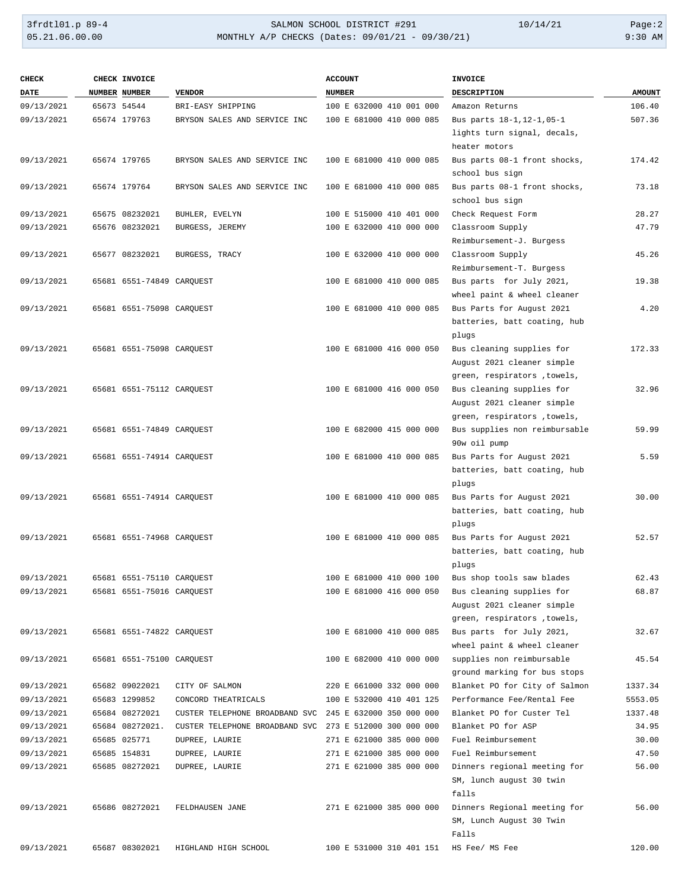# 3frdtl01.p 89-4 <br>
35.21.06.00.00 <br>
330 AM MONTHLY A/P CHECKS (Dates: 09/01/21 - 09/30/21) <br>
330 AM 9:30 AM MONTHLY A/P CHECKS (Dates: 09/01/21 - 09/30/21)

| <b>CHECK</b> | CHECK INVOICE             |                                | <b>ACCOUNT</b>           | <b>INVOICE</b>                               |               |
|--------------|---------------------------|--------------------------------|--------------------------|----------------------------------------------|---------------|
| <b>DATE</b>  | NUMBER NUMBER             | <b>VENDOR</b>                  | <b>NUMBER</b>            | <b>DESCRIPTION</b>                           | <b>AMOUNT</b> |
| 09/13/2021   | 65673 54544               | BRI-EASY SHIPPING              | 100 E 632000 410 001 000 | Amazon Returns                               | 106.40        |
| 09/13/2021   | 65674 179763              | BRYSON SALES AND SERVICE INC   | 100 E 681000 410 000 085 | Bus parts 18-1, 12-1, 05-1                   | 507.36        |
|              |                           |                                |                          | lights turn signal, decals,                  |               |
|              |                           |                                |                          | heater motors                                |               |
| 09/13/2021   | 65674 179765              | BRYSON SALES AND SERVICE INC   | 100 E 681000 410 000 085 | Bus parts 08-1 front shocks,                 | 174.42        |
|              |                           |                                |                          | school bus sign                              |               |
| 09/13/2021   | 65674 179764              | BRYSON SALES AND SERVICE INC   | 100 E 681000 410 000 085 | Bus parts 08-1 front shocks,                 | 73.18         |
|              |                           |                                |                          | school bus sign                              |               |
| 09/13/2021   | 65675 08232021            | BUHLER, EVELYN                 | 100 E 515000 410 401 000 | Check Request Form                           | 28.27         |
| 09/13/2021   | 65676 08232021            | BURGESS, JEREMY                | 100 E 632000 410 000 000 | Classroom Supply<br>Reimbursement-J. Burgess | 47.79         |
| 09/13/2021   | 65677 08232021            | BURGESS, TRACY                 | 100 E 632000 410 000 000 | Classroom Supply                             | 45.26         |
|              |                           |                                |                          | Reimbursement-T. Burgess                     |               |
| 09/13/2021   | 65681 6551-74849 CARQUEST |                                | 100 E 681000 410 000 085 | Bus parts for July 2021,                     | 19.38         |
|              |                           |                                |                          | wheel paint & wheel cleaner                  |               |
| 09/13/2021   | 65681 6551-75098 CARQUEST |                                | 100 E 681000 410 000 085 | Bus Parts for August 2021                    | 4.20          |
|              |                           |                                |                          | batteries, batt coating, hub                 |               |
|              |                           |                                |                          | plugs                                        |               |
| 09/13/2021   | 65681 6551-75098 CARQUEST |                                | 100 E 681000 416 000 050 | Bus cleaning supplies for                    | 172.33        |
|              |                           |                                |                          | August 2021 cleaner simple                   |               |
|              |                           |                                |                          | green, respirators , towels,                 |               |
| 09/13/2021   | 65681 6551-75112 CARQUEST |                                | 100 E 681000 416 000 050 | Bus cleaning supplies for                    | 32.96         |
|              |                           |                                |                          | August 2021 cleaner simple                   |               |
|              |                           |                                |                          | green, respirators , towels,                 |               |
| 09/13/2021   | 65681 6551-74849 CARQUEST |                                | 100 E 682000 415 000 000 | Bus supplies non reimbursable                | 59.99         |
|              |                           |                                |                          | 90w oil pump                                 |               |
| 09/13/2021   | 65681 6551-74914 CARQUEST |                                | 100 E 681000 410 000 085 | Bus Parts for August 2021                    | 5.59          |
|              |                           |                                |                          | batteries, batt coating, hub                 |               |
|              |                           |                                |                          | plugs                                        |               |
| 09/13/2021   | 65681 6551-74914 CARQUEST |                                | 100 E 681000 410 000 085 | Bus Parts for August 2021                    | 30.00         |
|              |                           |                                |                          | batteries, batt coating, hub<br>plugs        |               |
| 09/13/2021   | 65681 6551-74968 CARQUEST |                                | 100 E 681000 410 000 085 | Bus Parts for August 2021                    | 52.57         |
|              |                           |                                |                          | batteries, batt coating, hub                 |               |
|              |                           |                                |                          | plugs                                        |               |
| 09/13/2021   | 65681 6551-75110 CARQUEST |                                | 100 E 681000 410 000 100 | Bus shop tools saw blades                    | 62.43         |
| 09/13/2021   | 65681 6551-75016 CARQUEST |                                | 100 E 681000 416 000 050 | Bus cleaning supplies for                    | 68.87         |
|              |                           |                                |                          | August 2021 cleaner simple                   |               |
|              |                           |                                |                          | green, respirators , towels,                 |               |
| 09/13/2021   | 65681 6551-74822 CARQUEST |                                | 100 E 681000 410 000 085 | Bus parts for July 2021,                     | 32.67         |
|              |                           |                                |                          | wheel paint & wheel cleaner                  |               |
| 09/13/2021   | 65681 6551-75100 CARQUEST |                                | 100 E 682000 410 000 000 | supplies non reimbursable                    | 45.54         |
|              |                           |                                |                          | ground marking for bus stops                 |               |
| 09/13/2021   | 65682 09022021            | CITY OF SALMON                 | 220 E 661000 332 000 000 | Blanket PO for City of Salmon                | 1337.34       |
| 09/13/2021   | 65683 1299852             | CONCORD THEATRICALS            | 100 E 532000 410 401 125 | Performance Fee/Rental Fee                   | 5553.05       |
| 09/13/2021   | 65684 08272021            | CUSTER TELEPHONE BROADBAND SVC | 245 E 632000 350 000 000 | Blanket PO for Custer Tel                    | 1337.48       |
| 09/13/2021   | 65684 08272021.           | CUSTER TELEPHONE BROADBAND SVC | 273 E 512000 300 000 000 | Blanket PO for ASP                           | 34.95         |
| 09/13/2021   | 65685 025771              | DUPREE, LAURIE                 | 271 E 621000 385 000 000 | Fuel Reimbursement                           | 30.00         |
| 09/13/2021   | 65685 154831              | DUPREE, LAURIE                 | 271 E 621000 385 000 000 | Fuel Reimbursement                           | 47.50         |
| 09/13/2021   | 65685 08272021            | DUPREE, LAURIE                 | 271 E 621000 385 000 000 | Dinners regional meeting for                 | 56.00         |
|              |                           |                                |                          | SM, lunch august 30 twin<br>falls            |               |
| 09/13/2021   | 65686 08272021            | FELDHAUSEN JANE                | 271 E 621000 385 000 000 | Dinners Regional meeting for                 | 56.00         |
|              |                           |                                |                          | SM, Lunch August 30 Twin                     |               |
|              |                           |                                |                          | Falls                                        |               |
| 09/13/2021   | 65687 08302021            | HIGHLAND HIGH SCHOOL           | 100 E 531000 310 401 151 | HS Fee/ MS Fee                               | 120.00        |
|              |                           |                                |                          |                                              |               |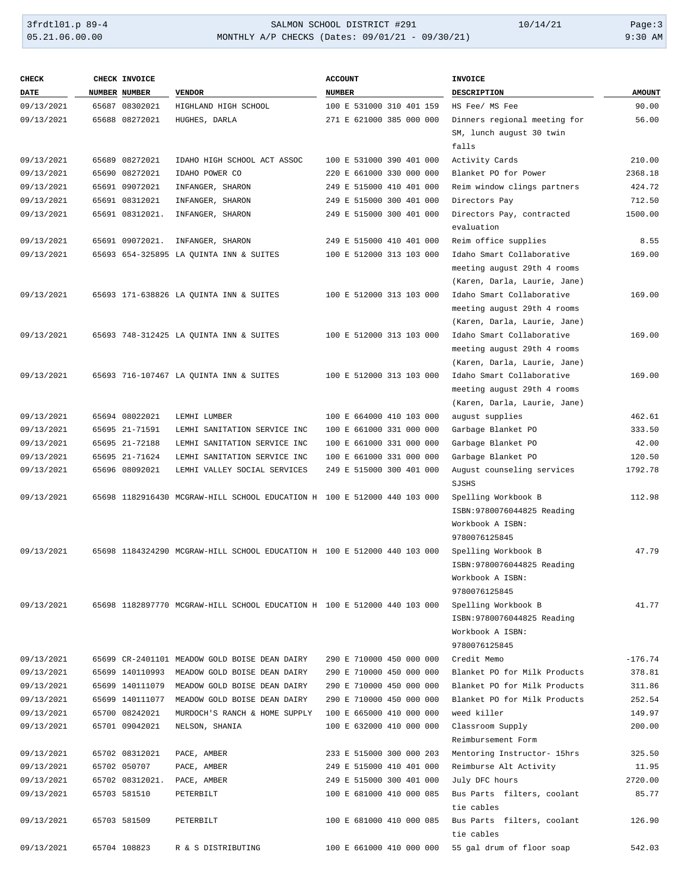# 3frdtl01.p 89-4 SALMON SCHOOL DISTRICT #291 10/14/21 Page:3 MONTHLY A/P CHECKS (Dates: 09/01/21 - 09/30/21)

| <b>CHECK</b> | CHECK INVOICE   |                                                                          | <b>ACCOUNT</b>           | INVOICE                                 |               |
|--------------|-----------------|--------------------------------------------------------------------------|--------------------------|-----------------------------------------|---------------|
| <b>DATE</b>  | NUMBER NUMBER   | <b>VENDOR</b>                                                            | <b>NUMBER</b>            | <b>DESCRIPTION</b>                      | <b>AMOUNT</b> |
| 09/13/2021   | 65687 08302021  | HIGHLAND HIGH SCHOOL                                                     | 100 E 531000 310 401 159 | HS Fee/ MS Fee                          | 90.00         |
| 09/13/2021   | 65688 08272021  | HUGHES, DARLA                                                            | 271 E 621000 385 000 000 | Dinners regional meeting for            | 56.00         |
|              |                 |                                                                          |                          | SM, lunch august 30 twin                |               |
|              |                 |                                                                          |                          | falls                                   |               |
| 09/13/2021   | 65689 08272021  | IDAHO HIGH SCHOOL ACT ASSOC                                              | 100 E 531000 390 401 000 | Activity Cards                          | 210.00        |
| 09/13/2021   | 65690 08272021  | IDAHO POWER CO                                                           | 220 E 661000 330 000 000 | Blanket PO for Power                    | 2368.18       |
| 09/13/2021   | 65691 09072021  | INFANGER, SHARON                                                         | 249 E 515000 410 401 000 | Reim window clings partners             | 424.72        |
| 09/13/2021   | 65691 08312021  | INFANGER, SHARON                                                         | 249 E 515000 300 401 000 | Directors Pay                           | 712.50        |
| 09/13/2021   | 65691 08312021. | INFANGER, SHARON                                                         | 249 E 515000 300 401 000 | Directors Pay, contracted<br>evaluation | 1500.00       |
| 09/13/2021   | 65691 09072021. | INFANGER, SHARON                                                         | 249 E 515000 410 401 000 | Reim office supplies                    | 8.55          |
| 09/13/2021   |                 | 65693 654-325895 LA QUINTA INN & SUITES                                  | 100 E 512000 313 103 000 | Idaho Smart Collaborative               | 169.00        |
|              |                 |                                                                          |                          | meeting august 29th 4 rooms             |               |
|              |                 |                                                                          |                          | (Karen, Darla, Laurie, Jane)            |               |
| 09/13/2021   |                 | 65693 171-638826 LA QUINTA INN & SUITES                                  | 100 E 512000 313 103 000 | Idaho Smart Collaborative               | 169.00        |
|              |                 |                                                                          |                          | meeting august 29th 4 rooms             |               |
|              |                 |                                                                          |                          | (Karen, Darla, Laurie, Jane)            |               |
| 09/13/2021   |                 | 65693 748-312425 LA OUINTA INN & SUITES                                  | 100 E 512000 313 103 000 | Idaho Smart Collaborative               | 169.00        |
|              |                 |                                                                          |                          | meeting august 29th 4 rooms             |               |
|              |                 |                                                                          |                          | (Karen, Darla, Laurie, Jane)            |               |
| 09/13/2021   |                 | 65693 716-107467 LA QUINTA INN & SUITES                                  | 100 E 512000 313 103 000 | Idaho Smart Collaborative               | 169.00        |
|              |                 |                                                                          |                          | meeting august 29th 4 rooms             |               |
|              |                 |                                                                          |                          | (Karen, Darla, Laurie, Jane)            |               |
| 09/13/2021   | 65694 08022021  | LEMHI LUMBER                                                             | 100 E 664000 410 103 000 | august supplies                         | 462.61        |
| 09/13/2021   | 65695 21-71591  | LEMHI SANITATION SERVICE INC                                             | 100 E 661000 331 000 000 | Garbage Blanket PO                      | 333.50        |
| 09/13/2021   | 65695 21-72188  | LEMHI SANITATION SERVICE INC                                             | 100 E 661000 331 000 000 | Garbage Blanket PO                      | 42.00         |
| 09/13/2021   | 65695 21-71624  | LEMHI SANITATION SERVICE INC                                             | 100 E 661000 331 000 000 | Garbage Blanket PO                      | 120.50        |
| 09/13/2021   | 65696 08092021  | LEMHI VALLEY SOCIAL SERVICES                                             | 249 E 515000 300 401 000 | August counseling services<br>SJSHS     | 1792.78       |
| 09/13/2021   |                 | 65698 1182916430 MCGRAW-HILL SCHOOL EDUCATION H 100 E 512000 440 103 000 |                          | Spelling Workbook B                     | 112.98        |
|              |                 |                                                                          |                          | ISBN:9780076044825 Reading              |               |
|              |                 |                                                                          |                          | Workbook A ISBN:                        |               |
|              |                 |                                                                          |                          | 9780076125845                           |               |
| 09/13/2021   |                 | 65698 1184324290 MCGRAW-HILL SCHOOL EDUCATION H 100 E 512000 440 103 000 |                          | Spelling Workbook B                     | 47.79         |
|              |                 |                                                                          |                          | ISBN: 9780076044825 Reading             |               |
|              |                 |                                                                          |                          | Workbook A ISBN:<br>9780076125845       |               |
| 09/13/2021   |                 | 65698 1182897770 MCGRAW-HILL SCHOOL EDUCATION H 100 E 512000 440 103 000 |                          | Spelling Workbook B                     | 41.77         |
|              |                 |                                                                          |                          | ISBN: 9780076044825 Reading             |               |
|              |                 |                                                                          |                          | Workbook A ISBN:                        |               |
|              |                 |                                                                          |                          | 9780076125845                           |               |
| 09/13/2021   |                 | 65699 CR-2401101 MEADOW GOLD BOISE DEAN DAIRY                            | 290 E 710000 450 000 000 | Credit Memo                             | $-176.74$     |
| 09/13/2021   |                 | 65699 140110993 MEADOW GOLD BOISE DEAN DAIRY                             | 290 E 710000 450 000 000 | Blanket PO for Milk Products            | 378.81        |
| 09/13/2021   | 65699 140111079 | MEADOW GOLD BOISE DEAN DAIRY                                             | 290 E 710000 450 000 000 | Blanket PO for Milk Products            | 311.86        |
| 09/13/2021   | 65699 140111077 | MEADOW GOLD BOISE DEAN DAIRY                                             | 290 E 710000 450 000 000 | Blanket PO for Milk Products            | 252.54        |
| 09/13/2021   | 65700 08242021  | MURDOCH'S RANCH & HOME SUPPLY                                            | 100 E 665000 410 000 000 | weed killer                             | 149.97        |
| 09/13/2021   | 65701 09042021  | NELSON, SHANIA                                                           | 100 E 632000 410 000 000 | Classroom Supply                        | 200.00        |
|              |                 |                                                                          |                          | Reimbursement Form                      |               |
| 09/13/2021   | 65702 08312021  | PACE, AMBER                                                              | 233 E 515000 300 000 203 | Mentoring Instructor- 15hrs             | 325.50        |
| 09/13/2021   | 65702 050707    | PACE, AMBER                                                              | 249 E 515000 410 401 000 | Reimburse Alt Activity                  | 11.95         |
| 09/13/2021   | 65702 08312021. | PACE, AMBER                                                              | 249 E 515000 300 401 000 | July DFC hours                          | 2720.00       |
| 09/13/2021   | 65703 581510    | PETERBILT                                                                | 100 E 681000 410 000 085 | Bus Parts filters, coolant              | 85.77         |
|              |                 |                                                                          |                          | tie cables                              |               |
| 09/13/2021   | 65703 581509    | PETERBILT                                                                | 100 E 681000 410 000 085 | Bus Parts filters, coolant              | 126.90        |
|              |                 |                                                                          |                          | tie cables                              |               |
| 09/13/2021   | 65704 108823    | R & S DISTRIBUTING                                                       | 100 E 661000 410 000 000 | 55 gal drum of floor soap               | 542.03        |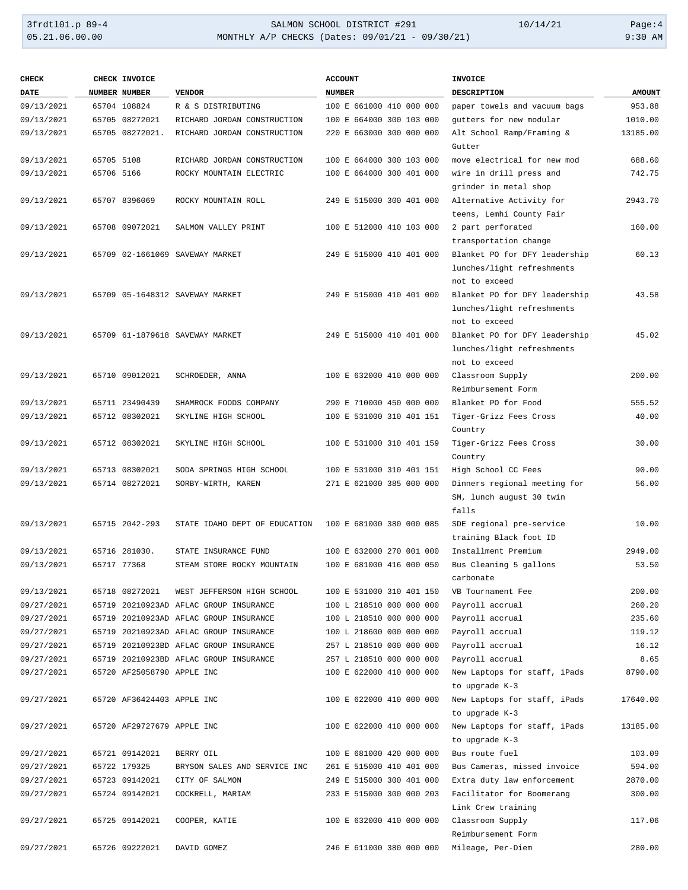### 3frdtl01.p 89-4 <br>
35.21.06.00.00 <br>
330 AM MONTHLY A/P CHECKS (Dates: 09/01/21 - 09/30/21) <br>
330 AM 9:30 AM MONTHLY A/P CHECKS (Dates: 09/01/21 - 09/30/21)

| <b>CHECK</b> |            | CHECK INVOICE              |                                        | <b>ACCOUNT</b>           | <b>INVOICE</b>                |               |
|--------------|------------|----------------------------|----------------------------------------|--------------------------|-------------------------------|---------------|
| DATE         |            | NUMBER NUMBER              | <b>VENDOR</b>                          | <b>NUMBER</b>            | <b>DESCRIPTION</b>            | <b>AMOUNT</b> |
| 09/13/2021   |            | 65704 108824               | R & S DISTRIBUTING                     | 100 E 661000 410 000 000 | paper towels and vacuum bags  | 953.88        |
| 09/13/2021   |            | 65705 08272021             | RICHARD JORDAN CONSTRUCTION            | 100 E 664000 300 103 000 | gutters for new modular       | 1010.00       |
| 09/13/2021   |            | 65705 08272021.            | RICHARD JORDAN CONSTRUCTION            | 220 E 663000 300 000 000 | Alt School Ramp/Framing &     | 13185.00      |
|              |            |                            |                                        |                          | Gutter                        |               |
| 09/13/2021   | 65705 5108 |                            | RICHARD JORDAN CONSTRUCTION            | 100 E 664000 300 103 000 | move electrical for new mod   | 688.60        |
| 09/13/2021   | 65706 5166 |                            | ROCKY MOUNTAIN ELECTRIC                | 100 E 664000 300 401 000 | wire in drill press and       | 742.75        |
|              |            |                            |                                        |                          | grinder in metal shop         |               |
| 09/13/2021   |            | 65707 8396069              | ROCKY MOUNTAIN ROLL                    | 249 E 515000 300 401 000 | Alternative Activity for      | 2943.70       |
|              |            |                            |                                        |                          | teens, Lemhi County Fair      |               |
| 09/13/2021   |            | 65708 09072021             | SALMON VALLEY PRINT                    | 100 E 512000 410 103 000 | 2 part perforated             | 160.00        |
|              |            |                            |                                        |                          | transportation change         |               |
| 09/13/2021   |            |                            | 65709 02-1661069 SAVEWAY MARKET        | 249 E 515000 410 401 000 | Blanket PO for DFY leadership | 60.13         |
|              |            |                            |                                        |                          | lunches/light refreshments    |               |
|              |            |                            |                                        |                          | not to exceed                 |               |
| 09/13/2021   |            |                            | 65709 05-1648312 SAVEWAY MARKET        | 249 E 515000 410 401 000 | Blanket PO for DFY leadership | 43.58         |
|              |            |                            |                                        |                          | lunches/light refreshments    |               |
|              |            |                            |                                        |                          | not to exceed                 |               |
| 09/13/2021   |            |                            | 65709 61-1879618 SAVEWAY MARKET        | 249 E 515000 410 401 000 | Blanket PO for DFY leadership | 45.02         |
|              |            |                            |                                        |                          | lunches/light refreshments    |               |
|              |            |                            |                                        |                          | not to exceed                 |               |
| 09/13/2021   |            | 65710 09012021             | SCHROEDER, ANNA                        | 100 E 632000 410 000 000 | Classroom Supply              | 200.00        |
|              |            |                            |                                        |                          | Reimbursement Form            |               |
| 09/13/2021   |            | 65711 23490439             | SHAMROCK FOODS COMPANY                 | 290 E 710000 450 000 000 | Blanket PO for Food           | 555.52        |
| 09/13/2021   |            | 65712 08302021             | SKYLINE HIGH SCHOOL                    | 100 E 531000 310 401 151 | Tiger-Grizz Fees Cross        | 40.00         |
|              |            |                            |                                        |                          | Country                       |               |
| 09/13/2021   |            | 65712 08302021             | SKYLINE HIGH SCHOOL                    | 100 E 531000 310 401 159 | Tiger-Grizz Fees Cross        | 30.00         |
|              |            |                            |                                        |                          | Country                       |               |
| 09/13/2021   |            | 65713 08302021             | SODA SPRINGS HIGH SCHOOL               | 100 E 531000 310 401 151 | High School CC Fees           | 90.00         |
| 09/13/2021   |            | 65714 08272021             | SORBY-WIRTH, KAREN                     | 271 E 621000 385 000 000 | Dinners regional meeting for  | 56.00         |
|              |            |                            |                                        |                          | SM, lunch august 30 twin      |               |
|              |            |                            |                                        |                          | falls                         |               |
| 09/13/2021   |            | 65715 2042-293             | STATE IDAHO DEPT OF EDUCATION          | 100 E 681000 380 000 085 | SDE regional pre-service      | 10.00         |
|              |            |                            |                                        |                          | training Black foot ID        |               |
| 09/13/2021   |            | 65716 281030.              | STATE INSURANCE FUND                   | 100 E 632000 270 001 000 | Installment Premium           | 2949.00       |
| 09/13/2021   |            | 65717 77368                | STEAM STORE ROCKY MOUNTAIN             | 100 E 681000 416 000 050 | Bus Cleaning 5 gallons        | 53.50         |
|              |            |                            |                                        |                          | carbonate                     |               |
| 09/13/2021   |            | 65718 08272021             | WEST JEFFERSON HIGH SCHOOL             | 100 E 531000 310 401 150 | VB Tournament Fee             | 200.00        |
| 09/27/2021   |            |                            | 65719 20210923AD AFLAC GROUP INSURANCE | 100 L 218510 000 000 000 | Payroll accrual               | 260.20        |
| 09/27/2021   |            |                            | 65719 20210923AD AFLAC GROUP INSURANCE | 100 L 218510 000 000 000 | Payroll accrual               | 235.60        |
| 09/27/2021   |            |                            | 65719 20210923AD AFLAC GROUP INSURANCE | 100 L 218600 000 000 000 | Payroll accrual               | 119.12        |
| 09/27/2021   |            |                            | 65719 20210923BD AFLAC GROUP INSURANCE | 257 L 218510 000 000 000 | Payroll accrual               | 16.12         |
| 09/27/2021   |            |                            | 65719 20210923BD AFLAC GROUP INSURANCE | 257 L 218510 000 000 000 | Payroll accrual               | 8.65          |
| 09/27/2021   |            | 65720 AF25058790 APPLE INC |                                        | 100 E 622000 410 000 000 | New Laptops for staff, iPads  | 8790.00       |
|              |            |                            |                                        |                          | to upgrade K-3                |               |
| 09/27/2021   |            | 65720 AF36424403 APPLE INC |                                        | 100 E 622000 410 000 000 | New Laptops for staff, iPads  | 17640.00      |
|              |            |                            |                                        |                          | to upgrade K-3                |               |
| 09/27/2021   |            | 65720 AF29727679 APPLE INC |                                        | 100 E 622000 410 000 000 | New Laptops for staff, iPads  | 13185.00      |
|              |            |                            |                                        |                          | to upgrade K-3                |               |
| 09/27/2021   |            | 65721 09142021             | BERRY OIL                              | 100 E 681000 420 000 000 | Bus route fuel                | 103.09        |
| 09/27/2021   |            | 65722 179325               | BRYSON SALES AND SERVICE INC           | 261 E 515000 410 401 000 | Bus Cameras, missed invoice   | 594.00        |
| 09/27/2021   |            | 65723 09142021             | CITY OF SALMON                         | 249 E 515000 300 401 000 | Extra duty law enforcement    | 2870.00       |
| 09/27/2021   |            | 65724 09142021             | COCKRELL, MARIAM                       | 233 E 515000 300 000 203 | Facilitator for Boomerang     | 300.00        |
|              |            |                            |                                        |                          | Link Crew training            |               |
| 09/27/2021   |            | 65725 09142021             | COOPER, KATIE                          | 100 E 632000 410 000 000 | Classroom Supply              | 117.06        |
|              |            |                            |                                        |                          | Reimbursement Form            |               |
| 09/27/2021   |            | 65726 09222021             | DAVID GOMEZ                            | 246 E 611000 380 000 000 | Mileage, Per-Diem             | 280.00        |
|              |            |                            |                                        |                          |                               |               |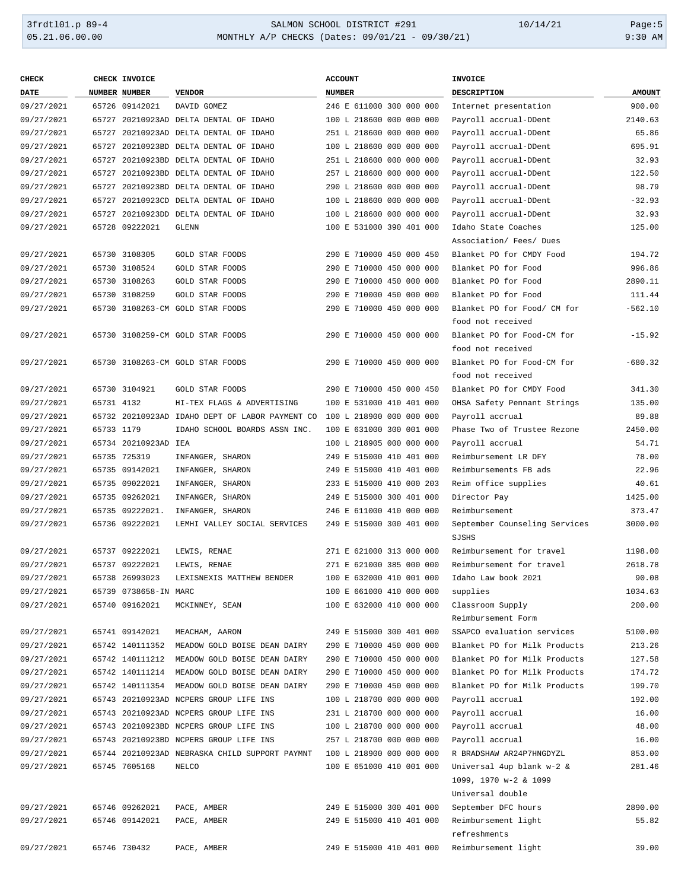### 3frdtl01.p 89-4 <br>
36.00.00 SALMON SCHOOL DISTRICT #291 10/14/21 Page:5<br>
30.00 MONTHLY A/P CHECKS (Dates: 09/01/21 - 09/30/21) 9:30 AM MONTHLY A/P CHECKS (Dates: 09/01/21 - 09/30/21)

| <b>CHECK</b> |            | CHECK INVOICE         |                                                 | <b>ACCOUNT</b>           | <b>INVOICE</b>                |               |
|--------------|------------|-----------------------|-------------------------------------------------|--------------------------|-------------------------------|---------------|
| <b>DATE</b>  |            | NUMBER NUMBER         | <b>VENDOR</b>                                   | <b>NUMBER</b>            | DESCRIPTION                   | <b>AMOUNT</b> |
| 09/27/2021   |            | 65726 09142021        | DAVID GOMEZ                                     | 246 E 611000 300 000 000 | Internet presentation         | 900.00        |
| 09/27/2021   |            |                       | 65727 20210923AD DELTA DENTAL OF IDAHO          | 100 L 218600 000 000 000 | Payroll accrual-DDent         | 2140.63       |
| 09/27/2021   |            |                       | 65727 20210923AD DELTA DENTAL OF IDAHO          | 251 L 218600 000 000 000 | Payroll accrual-DDent         | 65.86         |
| 09/27/2021   |            |                       | 65727 20210923BD DELTA DENTAL OF IDAHO          | 100 L 218600 000 000 000 | Payroll accrual-DDent         | 695.91        |
| 09/27/2021   |            |                       | 65727 20210923BD DELTA DENTAL OF IDAHO          | 251 L 218600 000 000 000 | Payroll accrual-DDent         | 32.93         |
| 09/27/2021   |            |                       | 65727 20210923BD DELTA DENTAL OF IDAHO          | 257 L 218600 000 000 000 | Payroll accrual-DDent         | 122.50        |
| 09/27/2021   |            |                       | 65727 20210923BD DELTA DENTAL OF IDAHO          | 290 L 218600 000 000 000 | Payroll accrual-DDent         | 98.79         |
| 09/27/2021   |            |                       | 65727 20210923CD DELTA DENTAL OF IDAHO          | 100 L 218600 000 000 000 | Payroll accrual-DDent         | $-32.93$      |
| 09/27/2021   |            |                       | 65727 20210923DD DELTA DENTAL OF IDAHO          | 100 L 218600 000 000 000 | Payroll accrual-DDent         | 32.93         |
| 09/27/2021   |            | 65728 09222021        | <b>GLENN</b>                                    | 100 E 531000 390 401 000 | Idaho State Coaches           | 125.00        |
|              |            |                       |                                                 |                          | Association/ Fees/ Dues       |               |
| 09/27/2021   |            | 65730 3108305         | GOLD STAR FOODS                                 | 290 E 710000 450 000 450 | Blanket PO for CMDY Food      | 194.72        |
| 09/27/2021   |            | 65730 3108524         | GOLD STAR FOODS                                 | 290 E 710000 450 000 000 | Blanket PO for Food           | 996.86        |
| 09/27/2021   |            | 65730 3108263         | GOLD STAR FOODS                                 | 290 E 710000 450 000 000 | Blanket PO for Food           | 2890.11       |
| 09/27/2021   |            | 65730 3108259         | GOLD STAR FOODS                                 | 290 E 710000 450 000 000 | Blanket PO for Food           | 111.44        |
| 09/27/2021   |            |                       | 65730 3108263-CM GOLD STAR FOODS                | 290 E 710000 450 000 000 | Blanket PO for Food/ CM for   | $-562.10$     |
|              |            |                       |                                                 |                          | food not received             |               |
| 09/27/2021   |            |                       | 65730 3108259-CM GOLD STAR FOODS                | 290 E 710000 450 000 000 | Blanket PO for Food-CM for    | $-15.92$      |
|              |            |                       |                                                 |                          | food not received             |               |
| 09/27/2021   |            |                       | 65730 3108263-CM GOLD STAR FOODS                | 290 E 710000 450 000 000 | Blanket PO for Food-CM for    | $-680.32$     |
|              |            |                       |                                                 |                          | food not received             |               |
| 09/27/2021   |            | 65730 3104921         | <b>GOLD STAR FOODS</b>                          | 290 E 710000 450 000 450 | Blanket PO for CMDY Food      | 341.30        |
| 09/27/2021   | 65731 4132 |                       | HI-TEX FLAGS & ADVERTISING                      | 100 E 531000 410 401 000 | OHSA Safety Pennant Strings   | 135.00        |
| 09/27/2021   |            |                       | 65732 20210923AD IDAHO DEPT OF LABOR PAYMENT CO | 100 L 218900 000 000 000 | Payroll accrual               | 89.88         |
| 09/27/2021   | 65733 1179 |                       | IDAHO SCHOOL BOARDS ASSN INC.                   | 100 E 631000 300 001 000 | Phase Two of Trustee Rezone   | 2450.00       |
| 09/27/2021   |            | 65734 20210923AD IEA  |                                                 | 100 L 218905 000 000 000 | Payroll accrual               | 54.71         |
| 09/27/2021   |            | 65735 725319          | INFANGER, SHARON                                | 249 E 515000 410 401 000 | Reimbursement LR DFY          | 78.00         |
| 09/27/2021   |            | 65735 09142021        | INFANGER, SHARON                                | 249 E 515000 410 401 000 | Reimbursements FB ads         | 22.96         |
| 09/27/2021   |            | 65735 09022021        | INFANGER, SHARON                                | 233 E 515000 410 000 203 | Reim office supplies          | 40.61         |
| 09/27/2021   |            | 65735 09262021        | INFANGER, SHARON                                | 249 E 515000 300 401 000 | Director Pay                  | 1425.00       |
| 09/27/2021   |            | 65735 09222021.       | INFANGER, SHARON                                | 246 E 611000 410 000 000 | Reimbursement                 | 373.47        |
| 09/27/2021   |            | 65736 09222021        | LEMHI VALLEY SOCIAL SERVICES                    | 249 E 515000 300 401 000 | September Counseling Services | 3000.00       |
|              |            |                       |                                                 |                          | SJSHS                         |               |
| 09/27/2021   |            | 65737 09222021        | LEWIS, RENAE                                    | 271 E 621000 313 000 000 | Reimbursement for travel      | 1198.00       |
| 09/27/2021   |            | 65737 09222021        | LEWIS, RENAE                                    | 271 E 621000 385 000 000 | Reimbursement for travel      | 2618.78       |
| 09/27/2021   |            | 65738 26993023        | LEXISNEXIS MATTHEW BENDER                       | 100 E 632000 410 001 000 | Idaho Law book 2021           | 90.08         |
| 09/27/2021   |            | 65739 0738658-IN MARC |                                                 | 100 E 661000 410 000 000 | supplies                      | 1034.63       |
| 09/27/2021   |            | 65740 09162021        | MCKINNEY, SEAN                                  | 100 E 632000 410 000 000 | Classroom Supply              | 200.00        |
|              |            |                       |                                                 |                          | Reimbursement Form            |               |
| 09/27/2021   |            | 65741 09142021        | MEACHAM, AARON                                  | 249 E 515000 300 401 000 | SSAPCO evaluation services    | 5100.00       |
| 09/27/2021   |            | 65742 140111352       | MEADOW GOLD BOISE DEAN DAIRY                    | 290 E 710000 450 000 000 | Blanket PO for Milk Products  | 213.26        |
| 09/27/2021   |            | 65742 140111212       | MEADOW GOLD BOISE DEAN DAIRY                    | 290 E 710000 450 000 000 | Blanket PO for Milk Products  | 127.58        |
| 09/27/2021   |            | 65742 140111214       | MEADOW GOLD BOISE DEAN DAIRY                    | 290 E 710000 450 000 000 | Blanket PO for Milk Products  | 174.72        |
| 09/27/2021   |            |                       | 65742 140111354 MEADOW GOLD BOISE DEAN DAIRY    | 290 E 710000 450 000 000 | Blanket PO for Milk Products  | 199.70        |
| 09/27/2021   |            |                       | 65743 20210923AD NCPERS GROUP LIFE INS          | 100 L 218700 000 000 000 | Payroll accrual               | 192.00        |
| 09/27/2021   |            |                       | 65743 20210923AD NCPERS GROUP LIFE INS          | 231 L 218700 000 000 000 | Payroll accrual               | 16.00         |
| 09/27/2021   |            |                       | 65743 20210923BD NCPERS GROUP LIFE INS          | 100 L 218700 000 000 000 | Payroll accrual               | 48.00         |
| 09/27/2021   |            |                       | 65743 20210923BD NCPERS GROUP LIFE INS          | 257 L 218700 000 000 000 | Payroll accrual               | 16.00         |
| 09/27/2021   |            |                       | 65744 20210923AD NEBRASKA CHILD SUPPORT PAYMNT  | 100 L 218900 000 000 000 | R BRADSHAW AR24P7HNGDYZL      | 853.00        |
| 09/27/2021   |            | 65745 7605168         | NELCO                                           | 100 E 651000 410 001 000 | Universal 4up blank w-2 &     | 281.46        |
|              |            |                       |                                                 |                          | 1099, 1970 w-2 & 1099         |               |
|              |            |                       |                                                 |                          | Universal double              |               |
| 09/27/2021   |            | 65746 09262021        | PACE, AMBER                                     | 249 E 515000 300 401 000 | September DFC hours           | 2890.00       |
| 09/27/2021   |            | 65746 09142021        | PACE, AMBER                                     | 249 E 515000 410 401 000 | Reimbursement light           | 55.82         |
|              |            |                       |                                                 |                          | refreshments                  |               |
| 09/27/2021   |            | 65746 730432          | PACE, AMBER                                     | 249 E 515000 410 401 000 | Reimbursement light           | 39.00         |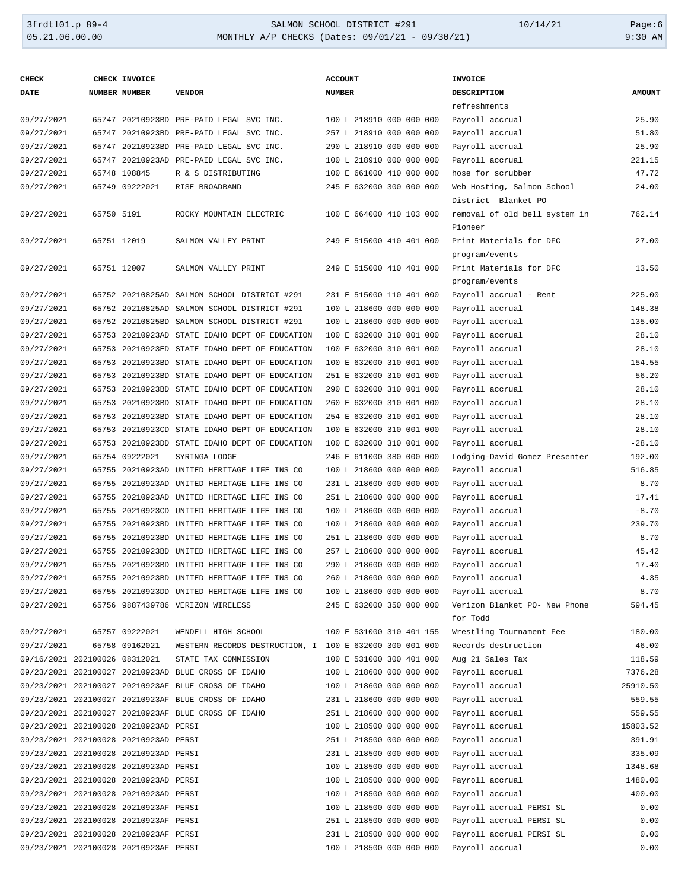### 3frdtl01.p 89-4 SALMON SCHOOL DISTRICT #291 10/14/21 Page:6 MONTHLY A/P CHECKS (Dates: 09/01/21 - 09/30/21)

| <b>CHECK</b>                  |            | CHECK INVOICE                         |                                                         | <b>ACCOUNT</b>           | <b>INVOICE</b>                |               |
|-------------------------------|------------|---------------------------------------|---------------------------------------------------------|--------------------------|-------------------------------|---------------|
| <b>DATE</b>                   |            | <b>NUMBER NUMBER</b>                  | <b>VENDOR</b>                                           | <b>NUMBER</b>            | DESCRIPTION                   | <b>AMOUNT</b> |
|                               |            |                                       |                                                         |                          | refreshments                  |               |
| 09/27/2021                    |            |                                       | 65747 20210923BD PRE-PAID LEGAL SVC INC.                | 100 L 218910 000 000 000 | Payroll accrual               | 25.90         |
| 09/27/2021                    |            |                                       | 65747 20210923BD PRE-PAID LEGAL SVC INC.                | 257 L 218910 000 000 000 | Payroll accrual               | 51.80         |
| 09/27/2021                    |            |                                       | 65747 20210923BD PRE-PAID LEGAL SVC INC.                | 290 L 218910 000 000 000 | Payroll accrual               | 25.90         |
| 09/27/2021                    |            |                                       | 65747 20210923AD PRE-PAID LEGAL SVC INC.                | 100 L 218910 000 000 000 | Payroll accrual               | 221.15        |
| 09/27/2021                    |            | 65748 108845                          | R & S DISTRIBUTING                                      | 100 E 661000 410 000 000 | hose for scrubber             | 47.72         |
| 09/27/2021                    |            | 65749 09222021                        | RISE BROADBAND                                          | 245 E 632000 300 000 000 | Web Hosting, Salmon School    | 24.00         |
|                               |            |                                       |                                                         |                          | District Blanket PO           |               |
| 09/27/2021                    | 65750 5191 |                                       | ROCKY MOUNTAIN ELECTRIC                                 | 100 E 664000 410 103 000 | removal of old bell system in | 762.14        |
|                               |            |                                       |                                                         |                          | Pioneer                       |               |
| 09/27/2021                    |            | 65751 12019                           | SALMON VALLEY PRINT                                     | 249 E 515000 410 401 000 | Print Materials for DFC       | 27.00         |
|                               |            |                                       |                                                         |                          | program/events                |               |
| 09/27/2021                    |            | 65751 12007                           | SALMON VALLEY PRINT                                     | 249 E 515000 410 401 000 | Print Materials for DFC       | 13.50         |
|                               |            |                                       |                                                         |                          | program/events                |               |
| 09/27/2021                    |            |                                       | 65752 20210825AD SALMON SCHOOL DISTRICT #291            | 231 E 515000 110 401 000 | Payroll accrual - Rent        | 225.00        |
| 09/27/2021                    |            |                                       | 65752 20210825AD SALMON SCHOOL DISTRICT #291            | 100 L 218600 000 000 000 | Payroll accrual               | 148.38        |
| 09/27/2021                    |            |                                       | 65752 20210825BD SALMON SCHOOL DISTRICT #291            | 100 L 218600 000 000 000 | Payroll accrual               | 135.00        |
| 09/27/2021                    |            |                                       | 65753 20210923AD STATE IDAHO DEPT OF EDUCATION          | 100 E 632000 310 001 000 | Payroll accrual               | 28.10         |
| 09/27/2021                    |            |                                       | 65753 20210923ED STATE IDAHO DEPT OF EDUCATION          | 100 E 632000 310 001 000 | Payroll accrual               | 28.10         |
| 09/27/2021                    |            |                                       | 65753 20210923BD STATE IDAHO DEPT OF EDUCATION          | 100 E 632000 310 001 000 | Payroll accrual               | 154.55        |
| 09/27/2021                    |            |                                       | 65753 20210923BD STATE IDAHO DEPT OF EDUCATION          | 251 E 632000 310 001 000 | Payroll accrual               | 56.20         |
| 09/27/2021                    |            |                                       | 65753 20210923BD STATE IDAHO DEPT OF EDUCATION          | 290 E 632000 310 001 000 | Payroll accrual               | 28.10         |
| 09/27/2021                    |            |                                       | 65753 20210923BD STATE IDAHO DEPT OF EDUCATION          | 260 E 632000 310 001 000 | Payroll accrual               | 28.10         |
| 09/27/2021                    |            |                                       | 65753 20210923BD STATE IDAHO DEPT OF EDUCATION          | 254 E 632000 310 001 000 | Payroll accrual               | 28.10         |
| 09/27/2021                    |            |                                       | 65753 20210923CD STATE IDAHO DEPT OF EDUCATION          | 100 E 632000 310 001 000 | Payroll accrual               | 28.10         |
| 09/27/2021                    |            |                                       | 65753 20210923DD STATE IDAHO DEPT OF EDUCATION          | 100 E 632000 310 001 000 | Payroll accrual               | $-28.10$      |
| 09/27/2021                    |            | 65754 09222021                        | SYRINGA LODGE                                           | 246 E 611000 380 000 000 | Lodging-David Gomez Presenter | 192.00        |
| 09/27/2021                    |            |                                       | 65755 20210923AD UNITED HERITAGE LIFE INS CO            | 100 L 218600 000 000 000 | Payroll accrual               | 516.85        |
| 09/27/2021                    |            |                                       | 65755 20210923AD UNITED HERITAGE LIFE INS CO            | 231 L 218600 000 000 000 | Payroll accrual               | 8.70          |
| 09/27/2021                    |            |                                       | 65755 20210923AD UNITED HERITAGE LIFE INS CO            | 251 L 218600 000 000 000 | Payroll accrual               | 17.41         |
| 09/27/2021                    |            |                                       | 65755 20210923CD UNITED HERITAGE LIFE INS CO            | 100 L 218600 000 000 000 | Payroll accrual               | $-8.70$       |
| 09/27/2021                    |            |                                       | 65755 20210923BD UNITED HERITAGE LIFE INS CO            | 100 L 218600 000 000 000 | Payroll accrual               | 239.70        |
| 09/27/2021                    |            |                                       | 65755 20210923BD UNITED HERITAGE LIFE INS CO            | 251 L 218600 000 000 000 | Payroll accrual               | 8.70          |
| 09/27/2021                    |            |                                       | 65755 20210923BD UNITED HERITAGE LIFE INS CO            | 257 L 218600 000 000 000 | Payroll accrual               | 45.42         |
| 09/27/2021                    |            |                                       | 65755 20210923BD UNITED HERITAGE LIFE INS CO            | 290 L 218600 000 000 000 | Payroll accrual               | 17.40         |
| 09/27/2021                    |            |                                       | 65755 20210923BD UNITED HERITAGE LIFE INS CO            | 260 L 218600 000 000 000 | Payroll accrual               | 4.35          |
| 09/27/2021                    |            |                                       | 65755 20210923DD UNITED HERITAGE LIFE INS CO            | 100 L 218600 000 000 000 | Payroll accrual               | 8.70          |
| 09/27/2021                    |            |                                       | 65756 9887439786 VERIZON WIRELESS                       | 245 E 632000 350 000 000 | Verizon Blanket PO- New Phone | 594.45        |
|                               |            |                                       |                                                         |                          | for Todd                      |               |
| 09/27/2021                    |            | 65757 09222021                        | WENDELL HIGH SCHOOL                                     | 100 E 531000 310 401 155 | Wrestling Tournament Fee      | 180.00        |
| 09/27/2021                    |            | 65758 09162021                        | WESTERN RECORDS DESTRUCTION, I 100 E 632000 300 001 000 |                          | Records destruction           | 46.00         |
| 09/16/2021 202100026 08312021 |            |                                       | STATE TAX COMMISSION                                    | 100 E 531000 300 401 000 | Aug 21 Sales Tax              | 118.59        |
|                               |            |                                       | 09/23/2021 202100027 20210923AD BLUE CROSS OF IDAHO     | 100 L 218600 000 000 000 | Payroll accrual               | 7376.28       |
|                               |            |                                       | 09/23/2021 202100027 20210923AF BLUE CROSS OF IDAHO     | 100 L 218600 000 000 000 | Payroll accrual               | 25910.50      |
|                               |            |                                       | 09/23/2021 202100027 20210923AF BLUE CROSS OF IDAHO     | 231 L 218600 000 000 000 | Payroll accrual               | 559.55        |
|                               |            |                                       | 09/23/2021 202100027 20210923AF BLUE CROSS OF IDAHO     | 251 L 218600 000 000 000 | Payroll accrual               | 559.55        |
|                               |            | 09/23/2021 202100028 20210923AD PERSI |                                                         | 100 L 218500 000 000 000 | Payroll accrual               | 15803.52      |
|                               |            | 09/23/2021 202100028 20210923AD PERSI |                                                         | 251 L 218500 000 000 000 | Payroll accrual               | 391.91        |
|                               |            | 09/23/2021 202100028 20210923AD PERSI |                                                         | 231 L 218500 000 000 000 | Payroll accrual               | 335.09        |
|                               |            | 09/23/2021 202100028 20210923AD PERSI |                                                         | 100 L 218500 000 000 000 | Payroll accrual               | 1348.68       |
|                               |            | 09/23/2021 202100028 20210923AD PERSI |                                                         | 100 L 218500 000 000 000 | Payroll accrual               | 1480.00       |
|                               |            | 09/23/2021 202100028 20210923AD PERSI |                                                         | 100 L 218500 000 000 000 | Payroll accrual               | 400.00        |
|                               |            | 09/23/2021 202100028 20210923AF PERSI |                                                         | 100 L 218500 000 000 000 | Payroll accrual PERSI SL      | 0.00          |
|                               |            | 09/23/2021 202100028 20210923AF PERSI |                                                         | 251 L 218500 000 000 000 | Payroll accrual PERSI SL      | 0.00          |
|                               |            | 09/23/2021 202100028 20210923AF PERSI |                                                         | 231 L 218500 000 000 000 | Payroll accrual PERSI SL      | 0.00          |
|                               |            | 09/23/2021 202100028 20210923AF PERSI |                                                         | 100 L 218500 000 000 000 | Payroll accrual               | 0.00          |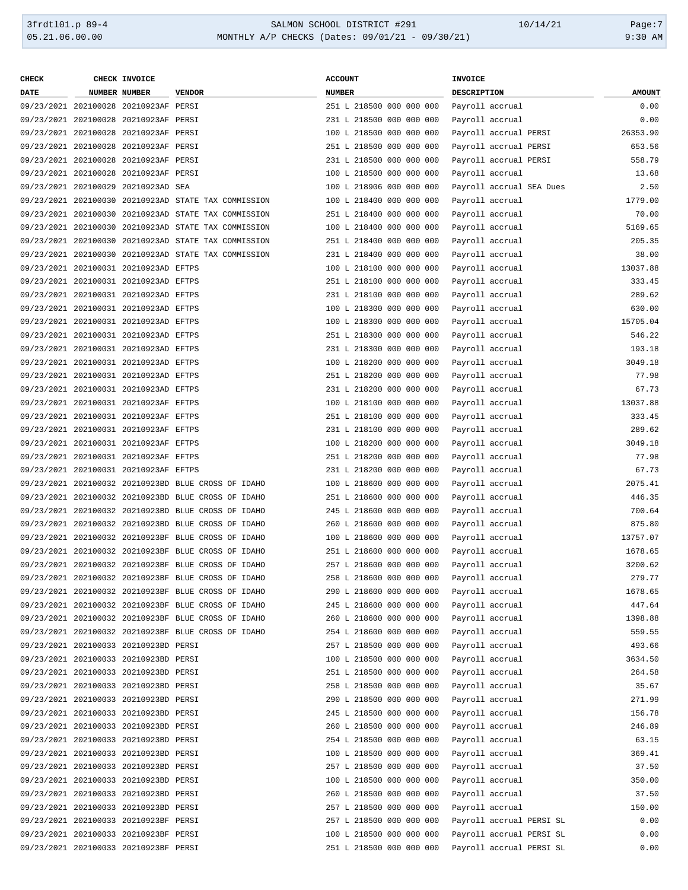| <b>CHECK</b> | CHECK INVOICE                         |                                                      | <b>ACCOUNT</b>           | INVOICE                  |               |
|--------------|---------------------------------------|------------------------------------------------------|--------------------------|--------------------------|---------------|
| <b>DATE</b>  | NUMBER NUMBER                         | <b>VENDOR</b>                                        | <b>NUMBER</b>            | DESCRIPTION              | <b>AMOUNT</b> |
|              | 09/23/2021 202100028 20210923AF PERSI |                                                      | 251 L 218500 000 000 000 | Payroll accrual          | 0.00          |
|              | 09/23/2021 202100028 20210923AF PERSI |                                                      | 231 L 218500 000 000 000 | Payroll accrual          | 0.00          |
|              | 09/23/2021 202100028 20210923AF PERSI |                                                      | 100 L 218500 000 000 000 | Payroll accrual PERSI    | 26353.90      |
|              | 09/23/2021 202100028 20210923AF PERSI |                                                      | 251 L 218500 000 000 000 | Payroll accrual PERSI    | 653.56        |
|              | 09/23/2021 202100028 20210923AF PERSI |                                                      | 231 L 218500 000 000 000 | Payroll accrual PERSI    | 558.79        |
|              | 09/23/2021 202100028 20210923AF PERSI |                                                      | 100 L 218500 000 000 000 | Payroll accrual          | 13.68         |
|              | 09/23/2021 202100029 20210923AD SEA   |                                                      | 100 L 218906 000 000 000 | Payroll accrual SEA Dues | 2.50          |
|              |                                       | 09/23/2021 202100030 20210923AD STATE TAX COMMISSION | 100 L 218400 000 000 000 | Payroll accrual          | 1779.00       |
|              |                                       | 09/23/2021 202100030 20210923AD STATE TAX COMMISSION | 251 L 218400 000 000 000 | Payroll accrual          | 70.00         |
|              |                                       | 09/23/2021 202100030 20210923AD STATE TAX COMMISSION | 100 L 218400 000 000 000 | Payroll accrual          | 5169.65       |
|              |                                       | 09/23/2021 202100030 20210923AD STATE TAX COMMISSION | 251 L 218400 000 000 000 | Payroll accrual          | 205.35        |
|              |                                       | 09/23/2021 202100030 20210923AD STATE TAX COMMISSION | 231 L 218400 000 000 000 | Payroll accrual          | 38.00         |
|              | 09/23/2021 202100031 20210923AD EFTPS |                                                      | 100 L 218100 000 000 000 | Payroll accrual          | 13037.88      |
|              |                                       |                                                      |                          |                          | 333.45        |
|              | 09/23/2021 202100031 20210923AD EFTPS |                                                      | 251 L 218100 000 000 000 | Payroll accrual          |               |
|              | 09/23/2021 202100031 20210923AD EFTPS |                                                      | 231 L 218100 000 000 000 | Payroll accrual          | 289.62        |
|              | 09/23/2021 202100031 20210923AD EFTPS |                                                      | 100 L 218300 000 000 000 | Payroll accrual          | 630.00        |
|              | 09/23/2021 202100031 20210923AD EFTPS |                                                      | 100 L 218300 000 000 000 | Payroll accrual          | 15705.04      |
|              | 09/23/2021 202100031 20210923AD EFTPS |                                                      | 251 L 218300 000 000 000 | Payroll accrual          | 546.22        |
|              | 09/23/2021 202100031 20210923AD EFTPS |                                                      | 231 L 218300 000 000 000 | Payroll accrual          | 193.18        |
|              | 09/23/2021 202100031 20210923AD EFTPS |                                                      | 100 L 218200 000 000 000 | Payroll accrual          | 3049.18       |
|              | 09/23/2021 202100031 20210923AD EFTPS |                                                      | 251 L 218200 000 000 000 | Payroll accrual          | 77.98         |
|              | 09/23/2021 202100031 20210923AD EFTPS |                                                      | 231 L 218200 000 000 000 | Payroll accrual          | 67.73         |
|              | 09/23/2021 202100031 20210923AF EFTPS |                                                      | 100 L 218100 000 000 000 | Payroll accrual          | 13037.88      |
|              | 09/23/2021 202100031 20210923AF EFTPS |                                                      | 251 L 218100 000 000 000 | Payroll accrual          | 333.45        |
|              | 09/23/2021 202100031 20210923AF EFTPS |                                                      | 231 L 218100 000 000 000 | Payroll accrual          | 289.62        |
|              | 09/23/2021 202100031 20210923AF EFTPS |                                                      | 100 L 218200 000 000 000 | Payroll accrual          | 3049.18       |
|              | 09/23/2021 202100031 20210923AF EFTPS |                                                      | 251 L 218200 000 000 000 | Payroll accrual          | 77.98         |
|              | 09/23/2021 202100031 20210923AF EFTPS |                                                      | 231 L 218200 000 000 000 | Payroll accrual          | 67.73         |
|              |                                       | 09/23/2021 202100032 20210923BD BLUE CROSS OF IDAHO  | 100 L 218600 000 000 000 | Payroll accrual          | 2075.41       |
|              |                                       | 09/23/2021 202100032 20210923BD BLUE CROSS OF IDAHO  | 251 L 218600 000 000 000 | Payroll accrual          | 446.35        |
|              |                                       | 09/23/2021 202100032 20210923BD BLUE CROSS OF IDAHO  | 245 L 218600 000 000 000 | Payroll accrual          | 700.64        |
|              |                                       | 09/23/2021 202100032 20210923BD BLUE CROSS OF IDAHO  | 260 L 218600 000 000 000 | Payroll accrual          | 875.80        |
|              |                                       | 09/23/2021 202100032 20210923BF BLUE CROSS OF IDAHO  | 100 L 218600 000 000 000 | Payroll accrual          | 13757.07      |
|              |                                       | 09/23/2021 202100032 20210923BF BLUE CROSS OF IDAHO  | 251 L 218600 000 000 000 | Payroll accrual          | 1678.65       |
|              |                                       | 09/23/2021 202100032 20210923BF BLUE CROSS OF IDAHO  | 257 L 218600 000 000 000 | Payroll accrual          | 3200.62       |
|              |                                       | 09/23/2021 202100032 20210923BF BLUE CROSS OF IDAHO  | 258 L 218600 000 000 000 | Payroll accrual          | 279.77        |
|              |                                       | 09/23/2021 202100032 20210923BF BLUE CROSS OF IDAHO  | 290 L 218600 000 000 000 | Payroll accrual          | 1678.65       |
|              |                                       | 09/23/2021 202100032 20210923BF BLUE CROSS OF IDAHO  | 245 L 218600 000 000 000 | Payroll accrual          | 447.64        |
|              |                                       |                                                      |                          |                          | 1398.88       |
|              |                                       | 09/23/2021 202100032 20210923BF BLUE CROSS OF IDAHO  | 260 L 218600 000 000 000 | Payroll accrual          |               |
|              |                                       | 09/23/2021 202100032 20210923BF BLUE CROSS OF IDAHO  | 254 L 218600 000 000 000 | Payroll accrual          | 559.55        |
|              | 09/23/2021 202100033 20210923BD PERSI |                                                      | 257 L 218500 000 000 000 | Payroll accrual          | 493.66        |
|              | 09/23/2021 202100033 20210923BD PERSI |                                                      | 100 L 218500 000 000 000 | Payroll accrual          | 3634.50       |
|              | 09/23/2021 202100033 20210923BD PERSI |                                                      | 251 L 218500 000 000 000 | Payroll accrual          | 264.58        |
|              | 09/23/2021 202100033 20210923BD PERSI |                                                      | 258 L 218500 000 000 000 | Payroll accrual          | 35.67         |
|              | 09/23/2021 202100033 20210923BD PERSI |                                                      | 290 L 218500 000 000 000 | Payroll accrual          | 271.99        |
|              | 09/23/2021 202100033 20210923BD PERSI |                                                      | 245 L 218500 000 000 000 | Payroll accrual          | 156.78        |
|              | 09/23/2021 202100033 20210923BD PERSI |                                                      | 260 L 218500 000 000 000 | Payroll accrual          | 246.89        |
|              | 09/23/2021 202100033 20210923BD PERSI |                                                      | 254 L 218500 000 000 000 | Payroll accrual          | 63.15         |
|              | 09/23/2021 202100033 20210923BD PERSI |                                                      | 100 L 218500 000 000 000 | Payroll accrual          | 369.41        |
|              | 09/23/2021 202100033 20210923BD PERSI |                                                      | 257 L 218500 000 000 000 | Payroll accrual          | 37.50         |
|              | 09/23/2021 202100033 20210923BD PERSI |                                                      | 100 L 218500 000 000 000 | Payroll accrual          | 350.00        |
|              | 09/23/2021 202100033 20210923BD PERSI |                                                      | 260 L 218500 000 000 000 | Payroll accrual          | 37.50         |
|              | 09/23/2021 202100033 20210923BD PERSI |                                                      | 257 L 218500 000 000 000 | Payroll accrual          | 150.00        |
|              | 09/23/2021 202100033 20210923BF PERSI |                                                      | 257 L 218500 000 000 000 | Payroll accrual PERSI SL | 0.00          |
|              | 09/23/2021 202100033 20210923BF PERSI |                                                      | 100 L 218500 000 000 000 | Payroll accrual PERSI SL | 0.00          |
|              | 09/23/2021 202100033 20210923BF PERSI |                                                      | 251 L 218500 000 000 000 | Payroll accrual PERSI SL | 0.00          |
|              |                                       |                                                      |                          |                          |               |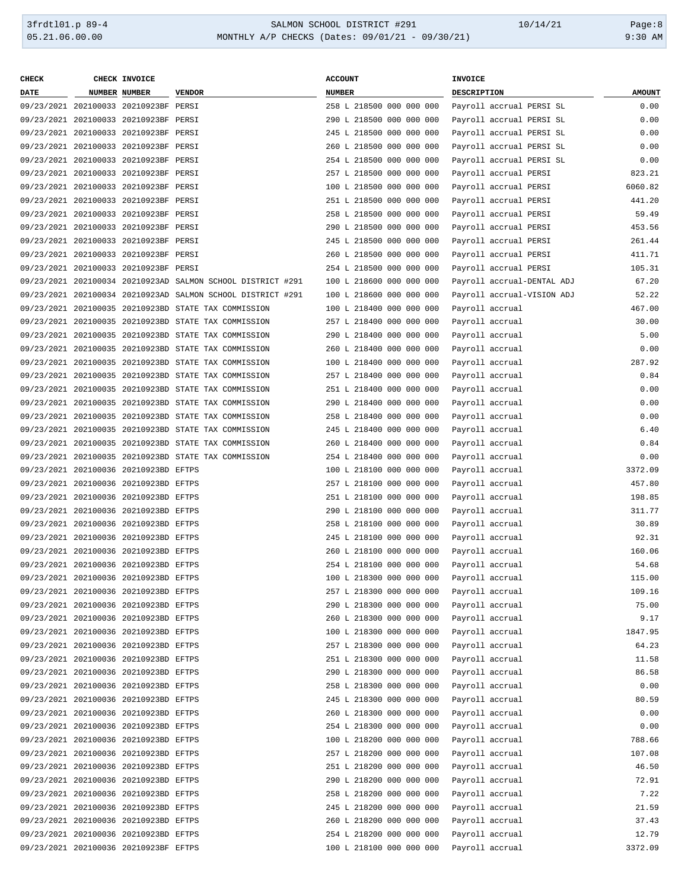### 3frdtl01.p 89-4 <br>
36.00.00 SALMON SCHOOL DISTRICT #291 10/14/21 Page:8<br>
30.00 MONTHLY A/P CHECKS (Dates: 09/01/21 - 09/30/21) 9:30 AM MONTHLY A/P CHECKS (Dates: 09/01/21 - 09/30/21)

| <b>CHECK</b> | CHECK INVOICE                         |                                                             | <b>ACCOUNT</b>           | INVOICE     |                            |               |
|--------------|---------------------------------------|-------------------------------------------------------------|--------------------------|-------------|----------------------------|---------------|
| DATE         | NUMBER NUMBER                         | <b>VENDOR</b>                                               | <b>NUMBER</b>            | DESCRIPTION |                            | <b>AMOUNT</b> |
|              | 09/23/2021 202100033 20210923BF PERSI |                                                             | 258 L 218500 000 000 000 |             | Payroll accrual PERSI SL   | 0.00          |
|              | 09/23/2021 202100033 20210923BF PERSI |                                                             | 290 L 218500 000 000 000 |             | Payroll accrual PERSI SL   | 0.00          |
|              | 09/23/2021 202100033 20210923BF PERSI |                                                             | 245 L 218500 000 000 000 |             | Payroll accrual PERSI SL   | 0.00          |
|              | 09/23/2021 202100033 20210923BF PERSI |                                                             | 260 L 218500 000 000 000 |             | Payroll accrual PERSI SL   | 0.00          |
|              | 09/23/2021 202100033 20210923BF PERSI |                                                             | 254 L 218500 000 000 000 |             | Payroll accrual PERSI SL   | 0.00          |
|              | 09/23/2021 202100033 20210923BF PERSI |                                                             | 257 L 218500 000 000 000 |             | Payroll accrual PERSI      | 823.21        |
|              | 09/23/2021 202100033 20210923BF PERSI |                                                             | 100 L 218500 000 000 000 |             | Payroll accrual PERSI      | 6060.82       |
|              | 09/23/2021 202100033 20210923BF PERSI |                                                             | 251 L 218500 000 000 000 |             | Payroll accrual PERSI      | 441.20        |
|              | 09/23/2021 202100033 20210923BF PERSI |                                                             | 258 L 218500 000 000 000 |             | Payroll accrual PERSI      | 59.49         |
|              |                                       |                                                             |                          |             |                            | 453.56        |
|              | 09/23/2021 202100033 20210923BF PERSI |                                                             | 290 L 218500 000 000 000 |             | Payroll accrual PERSI      |               |
|              | 09/23/2021 202100033 20210923BF PERSI |                                                             | 245 L 218500 000 000 000 |             | Payroll accrual PERSI      | 261.44        |
|              | 09/23/2021 202100033 20210923BF PERSI |                                                             | 260 L 218500 000 000 000 |             | Payroll accrual PERSI      | 411.71        |
|              | 09/23/2021 202100033 20210923BF PERSI |                                                             | 254 L 218500 000 000 000 |             | Payroll accrual PERSI      | 105.31        |
|              |                                       | 09/23/2021 202100034 20210923AD SALMON SCHOOL DISTRICT #291 | 100 L 218600 000 000 000 |             | Payroll accrual-DENTAL ADJ | 67.20         |
|              |                                       | 09/23/2021 202100034 20210923AD SALMON SCHOOL DISTRICT #291 | 100 L 218600 000 000 000 |             | Payroll accrual-VISION ADJ | 52.22         |
|              |                                       | 09/23/2021 202100035 20210923BD STATE TAX COMMISSION        | 100 L 218400 000 000 000 |             | Payroll accrual            | 467.00        |
|              |                                       | 09/23/2021 202100035 20210923BD STATE TAX COMMISSION        | 257 L 218400 000 000 000 |             | Payroll accrual            | 30.00         |
|              |                                       | 09/23/2021 202100035 20210923BD STATE TAX COMMISSION        | 290 L 218400 000 000 000 |             | Payroll accrual            | 5.00          |
|              |                                       | 09/23/2021 202100035 20210923BD STATE TAX COMMISSION        | 260 L 218400 000 000 000 |             | Payroll accrual            | 0.00          |
|              |                                       | 09/23/2021 202100035 20210923BD STATE TAX COMMISSION        | 100 L 218400 000 000 000 |             | Payroll accrual            | 287.92        |
|              |                                       | 09/23/2021 202100035 20210923BD STATE TAX COMMISSION        | 257 L 218400 000 000 000 |             | Payroll accrual            | 0.84          |
|              |                                       | 09/23/2021 202100035 20210923BD STATE TAX COMMISSION        | 251 L 218400 000 000 000 |             | Payroll accrual            | 0.00          |
|              |                                       | 09/23/2021 202100035 20210923BD STATE TAX COMMISSION        | 290 L 218400 000 000 000 |             | Payroll accrual            | 0.00          |
|              |                                       | 09/23/2021 202100035 20210923BD STATE TAX COMMISSION        | 258 L 218400 000 000 000 |             | Payroll accrual            | 0.00          |
|              |                                       | 09/23/2021 202100035 20210923BD STATE TAX COMMISSION        | 245 L 218400 000 000 000 |             | Payroll accrual            | 6.40          |
|              |                                       | 09/23/2021 202100035 20210923BD STATE TAX COMMISSION        | 260 L 218400 000 000 000 |             | Payroll accrual            | 0.84          |
|              |                                       | 09/23/2021 202100035 20210923BD STATE TAX COMMISSION        | 254 L 218400 000 000 000 |             | Payroll accrual            | 0.00          |
|              |                                       |                                                             |                          |             |                            | 3372.09       |
|              | 09/23/2021 202100036 20210923BD EFTPS |                                                             | 100 L 218100 000 000 000 |             | Payroll accrual            |               |
|              | 09/23/2021 202100036 20210923BD EFTPS |                                                             | 257 L 218100 000 000 000 |             | Payroll accrual            | 457.80        |
|              | 09/23/2021 202100036 20210923BD EFTPS |                                                             | 251 L 218100 000 000 000 |             | Payroll accrual            | 198.85        |
|              | 09/23/2021 202100036 20210923BD EFTPS |                                                             | 290 L 218100 000 000 000 |             | Payroll accrual            | 311.77        |
|              | 09/23/2021 202100036 20210923BD EFTPS |                                                             | 258 L 218100 000 000 000 |             | Payroll accrual            | 30.89         |
|              | 09/23/2021 202100036 20210923BD EFTPS |                                                             | 245 L 218100 000 000 000 |             | Payroll accrual            | 92.31         |
|              | 09/23/2021 202100036 20210923BD EFTPS |                                                             | 260 L 218100 000 000 000 |             | Payroll accrual            | 160.06        |
|              | 09/23/2021 202100036 20210923BD EFTPS |                                                             | 254 L 218100 000 000 000 |             | Payroll accrual            | 54.68         |
|              | 09/23/2021 202100036 20210923BD EFTPS |                                                             | 100 L 218300 000 000 000 |             | Payroll accrual            | 115.00        |
|              | 09/23/2021 202100036 20210923BD EFTPS |                                                             | 257 L 218300 000 000 000 |             | Payroll accrual            | 109.16        |
|              | 09/23/2021 202100036 20210923BD EFTPS |                                                             | 290 L 218300 000 000 000 |             | Payroll accrual            | 75.00         |
|              | 09/23/2021 202100036 20210923BD EFTPS |                                                             | 260 L 218300 000 000 000 |             | Payroll accrual            | 9.17          |
|              | 09/23/2021 202100036 20210923BD EFTPS |                                                             | 100 L 218300 000 000 000 |             | Payroll accrual            | 1847.95       |
|              | 09/23/2021 202100036 20210923BD EFTPS |                                                             | 257 L 218300 000 000 000 |             | Payroll accrual            | 64.23         |
|              | 09/23/2021 202100036 20210923BD EFTPS |                                                             | 251 L 218300 000 000 000 |             | Payroll accrual            | 11.58         |
|              | 09/23/2021 202100036 20210923BD EFTPS |                                                             | 290 L 218300 000 000 000 |             | Payroll accrual            | 86.58         |
|              | 09/23/2021 202100036 20210923BD EFTPS |                                                             | 258 L 218300 000 000 000 |             | Payroll accrual            | 0.00          |
|              | 09/23/2021 202100036 20210923BD EFTPS |                                                             | 245 L 218300 000 000 000 |             | Payroll accrual            | 80.59         |
|              | 09/23/2021 202100036 20210923BD EFTPS |                                                             | 260 L 218300 000 000 000 |             | Payroll accrual            | 0.00          |
|              | 09/23/2021 202100036 20210923BD EFTPS |                                                             | 254 L 218300 000 000 000 |             | Payroll accrual            | 0.00          |
|              | 09/23/2021 202100036 20210923BD EFTPS |                                                             | 100 L 218200 000 000 000 |             | Payroll accrual            | 788.66        |
|              | 09/23/2021 202100036 20210923BD EFTPS |                                                             | 257 L 218200 000 000 000 |             | Payroll accrual            | 107.08        |
|              | 09/23/2021 202100036 20210923BD EFTPS |                                                             | 251 L 218200 000 000 000 |             | Payroll accrual            | 46.50         |
|              | 09/23/2021 202100036 20210923BD EFTPS |                                                             | 290 L 218200 000 000 000 |             | Payroll accrual            | 72.91         |
|              | 09/23/2021 202100036 20210923BD EFTPS |                                                             | 258 L 218200 000 000 000 |             |                            | 7.22          |
|              |                                       |                                                             |                          |             | Payroll accrual            |               |
|              | 09/23/2021 202100036 20210923BD EFTPS |                                                             | 245 L 218200 000 000 000 |             | Payroll accrual            | 21.59         |
|              | 09/23/2021 202100036 20210923BD EFTPS |                                                             | 260 L 218200 000 000 000 |             | Payroll accrual            | 37.43         |
|              | 09/23/2021 202100036 20210923BD EFTPS |                                                             | 254 L 218200 000 000 000 |             | Payroll accrual            | 12.79         |
|              | 09/23/2021 202100036 20210923BF EFTPS |                                                             | 100 L 218100 000 000 000 |             | Payroll accrual            | 3372.09       |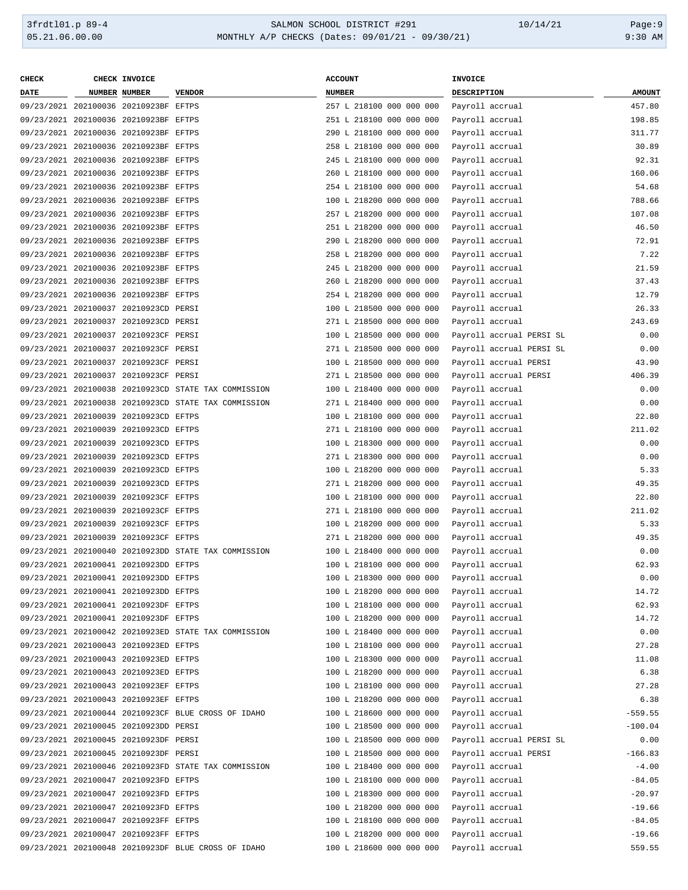| <b>CHECK</b> | CHECK INVOICE                         |                                                      | <b>ACCOUNT</b> |                                          |  | INVOICE            |                       |                          |               |
|--------------|---------------------------------------|------------------------------------------------------|----------------|------------------------------------------|--|--------------------|-----------------------|--------------------------|---------------|
| <b>DATE</b>  | NUMBER NUMBER                         | <b>VENDOR</b>                                        | <b>NUMBER</b>  |                                          |  | <b>DESCRIPTION</b> |                       |                          | <b>AMOUNT</b> |
|              | 09/23/2021 202100036 20210923BF EFTPS |                                                      |                | 257 L 218100 000 000 000                 |  | Payroll accrual    |                       |                          | 457.80        |
|              | 09/23/2021 202100036 20210923BF EFTPS |                                                      |                | 251 L 218100 000 000 000                 |  | Payroll accrual    |                       |                          | 198.85        |
|              | 09/23/2021 202100036 20210923BF EFTPS |                                                      |                | 290 L 218100 000 000 000                 |  | Payroll accrual    |                       |                          | 311.77        |
|              | 09/23/2021 202100036 20210923BF EFTPS |                                                      |                | 258 L 218100 000 000 000                 |  | Payroll accrual    |                       |                          | 30.89         |
|              | 09/23/2021 202100036 20210923BF EFTPS |                                                      |                | 245 L 218100 000 000 000                 |  | Payroll accrual    |                       |                          | 92.31         |
|              | 09/23/2021 202100036 20210923BF EFTPS |                                                      |                | 260 L 218100 000 000 000                 |  | Payroll accrual    |                       |                          | 160.06        |
|              | 09/23/2021 202100036 20210923BF EFTPS |                                                      |                | 254 L 218100 000 000 000                 |  | Payroll accrual    |                       |                          | 54.68         |
|              | 09/23/2021 202100036 20210923BF EFTPS |                                                      |                | 100 L 218200 000 000 000                 |  | Payroll accrual    |                       |                          | 788.66        |
|              |                                       |                                                      |                |                                          |  |                    |                       |                          |               |
|              | 09/23/2021 202100036 20210923BF EFTPS |                                                      |                | 257 L 218200 000 000 000                 |  | Payroll accrual    |                       |                          | 107.08        |
|              | 09/23/2021 202100036 20210923BF EFTPS |                                                      |                | 251 L 218200 000 000 000                 |  | Payroll accrual    |                       |                          | 46.50         |
|              | 09/23/2021 202100036 20210923BF EFTPS |                                                      |                | 290 L 218200 000 000 000                 |  | Payroll accrual    |                       |                          | 72.91         |
|              | 09/23/2021 202100036 20210923BF EFTPS |                                                      |                | 258 L 218200 000 000 000                 |  | Payroll accrual    |                       |                          | 7.22          |
|              | 09/23/2021 202100036 20210923BF EFTPS |                                                      |                | 245 L 218200 000 000 000                 |  | Payroll accrual    |                       |                          | 21.59         |
|              | 09/23/2021 202100036 20210923BF EFTPS |                                                      |                | 260 L 218200 000 000 000                 |  | Payroll accrual    |                       |                          | 37.43         |
|              | 09/23/2021 202100036 20210923BF EFTPS |                                                      |                | 254 L 218200 000 000 000                 |  |                    | Payroll accrual       |                          | 12.79         |
|              | 09/23/2021 202100037 20210923CD PERSI |                                                      |                | 100 L 218500 000 000 000                 |  |                    | Payroll accrual       |                          | 26.33         |
|              | 09/23/2021 202100037 20210923CD PERSI |                                                      |                | 271 L 218500 000 000 000                 |  | Payroll accrual    |                       |                          | 243.69        |
|              | 09/23/2021 202100037 20210923CF PERSI |                                                      |                | 100 L 218500 000 000 000                 |  |                    |                       | Payroll accrual PERSI SL | 0.00          |
|              | 09/23/2021 202100037 20210923CF PERSI |                                                      |                | 271 L 218500 000 000 000                 |  |                    |                       | Payroll accrual PERSI SL | 0.00          |
|              | 09/23/2021 202100037 20210923CF PERSI |                                                      |                | 100 L 218500 000 000 000                 |  |                    | Payroll accrual PERSI |                          | 43.90         |
|              | 09/23/2021 202100037 20210923CF PERSI |                                                      |                | 271 L 218500 000 000 000                 |  |                    | Payroll accrual PERSI |                          | 406.39        |
|              |                                       | 09/23/2021 202100038 20210923CD STATE TAX COMMISSION |                | 100 L 218400 000 000 000                 |  | Payroll accrual    |                       |                          | 0.00          |
|              |                                       | 09/23/2021 202100038 20210923CD STATE TAX COMMISSION |                | 271 L 218400 000 000 000                 |  |                    | Payroll accrual       |                          | 0.00          |
|              | 09/23/2021 202100039 20210923CD EFTPS |                                                      |                | 100 L 218100 000 000 000                 |  |                    | Payroll accrual       |                          | 22.80         |
|              | 09/23/2021 202100039 20210923CD EFTPS |                                                      |                | 271 L 218100 000 000 000                 |  |                    | Payroll accrual       |                          | 211.02        |
|              | 09/23/2021 202100039 20210923CD EFTPS |                                                      |                | 100 L 218300 000 000 000                 |  | Payroll accrual    |                       |                          | 0.00          |
|              | 09/23/2021 202100039 20210923CD EFTPS |                                                      |                | 271 L 218300 000 000 000                 |  | Payroll accrual    |                       |                          | 0.00          |
|              | 09/23/2021 202100039 20210923CD EFTPS |                                                      |                | 100 L 218200 000 000 000                 |  | Payroll accrual    |                       |                          | 5.33          |
|              | 09/23/2021 202100039 20210923CD EFTPS |                                                      |                | 271 L 218200 000 000 000                 |  | Payroll accrual    |                       |                          | 49.35         |
|              | 09/23/2021 202100039 20210923CF EFTPS |                                                      |                | 100 L 218100 000 000 000                 |  | Payroll accrual    |                       |                          | 22.80         |
|              | 09/23/2021 202100039 20210923CF EFTPS |                                                      |                | 271 L 218100 000 000 000                 |  | Payroll accrual    |                       |                          | 211.02        |
|              | 09/23/2021 202100039 20210923CF EFTPS |                                                      |                | 100 L 218200 000 000 000                 |  | Payroll accrual    |                       |                          | 5.33          |
|              |                                       |                                                      |                |                                          |  |                    |                       |                          |               |
|              | 09/23/2021 202100039 20210923CF EFTPS |                                                      |                | 271 L 218200 000 000 000                 |  | Payroll accrual    |                       |                          | 49.35         |
|              |                                       | 09/23/2021 202100040 20210923DD STATE TAX COMMISSION |                | 100 L 218400 000 000 000                 |  | Payroll accrual    |                       |                          | 0.00          |
|              | 09/23/2021 202100041 20210923DD EFTPS |                                                      |                | 100 L 218100 000 000 000                 |  | Payroll accrual    |                       |                          | 62.93         |
|              | 09/23/2021 202100041 20210923DD EFTPS |                                                      |                | 100 L 218300 000 000 000 Payroll accrual |  |                    |                       |                          | 0.00          |
|              | 09/23/2021 202100041 20210923DD EFTPS |                                                      |                | 100 L 218200 000 000 000                 |  | Payroll accrual    |                       |                          | 14.72         |
|              | 09/23/2021 202100041 20210923DF EFTPS |                                                      |                | 100 L 218100 000 000 000                 |  | Payroll accrual    |                       |                          | 62.93         |
|              | 09/23/2021 202100041 20210923DF EFTPS |                                                      |                | 100 L 218200 000 000 000                 |  | Payroll accrual    |                       |                          | 14.72         |
|              |                                       | 09/23/2021 202100042 20210923ED STATE TAX COMMISSION |                | 100 L 218400 000 000 000                 |  | Payroll accrual    |                       |                          | 0.00          |
|              | 09/23/2021 202100043 20210923ED EFTPS |                                                      |                | 100 L 218100 000 000 000                 |  | Payroll accrual    |                       |                          | 27.28         |
|              | 09/23/2021 202100043 20210923ED EFTPS |                                                      |                | 100 L 218300 000 000 000                 |  | Payroll accrual    |                       |                          | 11.08         |
|              | 09/23/2021 202100043 20210923ED EFTPS |                                                      |                | 100 L 218200 000 000 000                 |  | Payroll accrual    |                       |                          | 6.38          |
|              | 09/23/2021 202100043 20210923EF EFTPS |                                                      |                | 100 L 218100 000 000 000                 |  | Payroll accrual    |                       |                          | 27.28         |
|              | 09/23/2021 202100043 20210923EF EFTPS |                                                      |                | 100 L 218200 000 000 000                 |  |                    | Payroll accrual       |                          | 6.38          |
|              |                                       | 09/23/2021 202100044 20210923CF BLUE CROSS OF IDAHO  |                | 100 L 218600 000 000 000                 |  |                    | Payroll accrual       |                          | $-559.55$     |
|              | 09/23/2021 202100045 20210923DD PERSI |                                                      |                | 100 L 218500 000 000 000                 |  | Payroll accrual    |                       |                          | $-100.04$     |
|              | 09/23/2021 202100045 20210923DF PERSI |                                                      |                | 100 L 218500 000 000 000                 |  |                    |                       | Payroll accrual PERSI SL | 0.00          |
|              | 09/23/2021 202100045 20210923DF PERSI |                                                      |                | 100 L 218500 000 000 000                 |  |                    | Payroll accrual PERSI |                          | $-166.83$     |
|              |                                       | 09/23/2021 202100046 20210923FD STATE TAX COMMISSION |                | 100 L 218400 000 000 000                 |  | Payroll accrual    |                       |                          | $-4.00$       |
|              | 09/23/2021 202100047 20210923FD EFTPS |                                                      |                | 100 L 218100 000 000 000                 |  | Payroll accrual    |                       |                          | $-84.05$      |
|              | 09/23/2021 202100047 20210923FD EFTPS |                                                      |                | 100 L 218300 000 000 000                 |  | Payroll accrual    |                       |                          | $-20.97$      |
|              | 09/23/2021 202100047 20210923FD EFTPS |                                                      |                | 100 L 218200 000 000 000                 |  | Payroll accrual    |                       |                          | $-19.66$      |
|              | 09/23/2021 202100047 20210923FF EFTPS |                                                      |                | 100 L 218100 000 000 000                 |  | Payroll accrual    |                       |                          | $-84.05$      |
|              | 09/23/2021 202100047 20210923FF EFTPS |                                                      |                | 100 L 218200 000 000 000                 |  |                    | Payroll accrual       |                          | $-19.66$      |
|              |                                       | 09/23/2021 202100048 20210923DF BLUE CROSS OF IDAHO  |                | 100 L 218600 000 000 000                 |  |                    | Payroll accrual       |                          | 559.55        |
|              |                                       |                                                      |                |                                          |  |                    |                       |                          |               |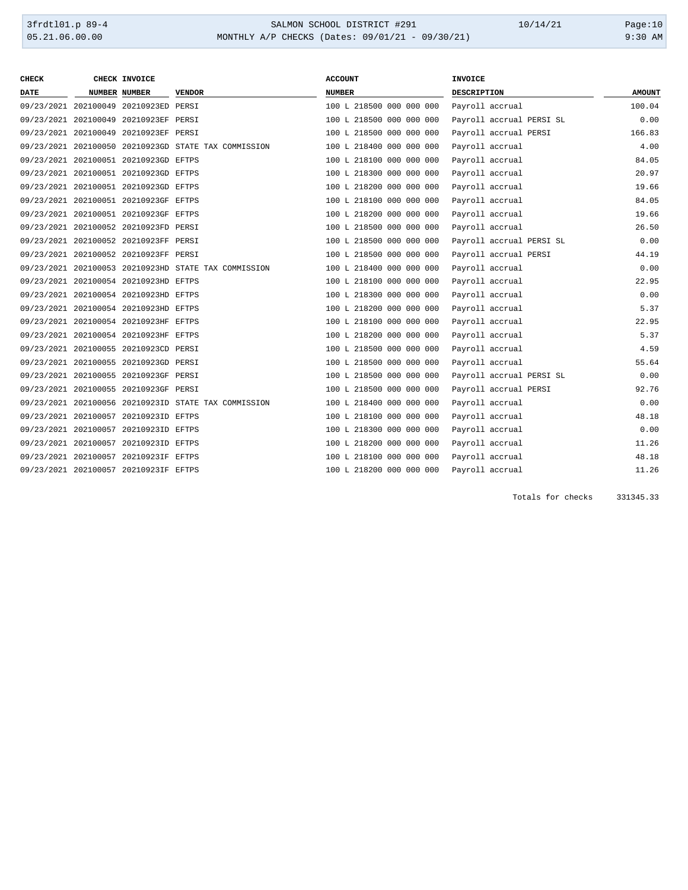| <b>CHECK</b> | CHECK INVOICE                         |                                                      | <b>ACCOUNT</b>           | <b>INVOICE</b>           |               |
|--------------|---------------------------------------|------------------------------------------------------|--------------------------|--------------------------|---------------|
| DATE         | <b>NUMBER NUMBER</b>                  | <b>VENDOR</b>                                        | <b>NUMBER</b>            | DESCRIPTION              | <b>AMOUNT</b> |
|              | 09/23/2021 202100049 20210923ED PERSI |                                                      | 100 L 218500 000 000 000 | Payroll accrual          | 100.04        |
|              | 09/23/2021 202100049 20210923EF PERSI |                                                      | 100 L 218500 000 000 000 | Payroll accrual PERSI SL | 0.00          |
|              | 09/23/2021 202100049 20210923EF PERSI |                                                      | 100 L 218500 000 000 000 | Payroll accrual PERSI    | 166.83        |
|              |                                       | 09/23/2021 202100050 20210923GD STATE TAX COMMISSION | 100 L 218400 000 000 000 | Payroll accrual          | 4.00          |
|              | 09/23/2021 202100051 20210923GD EFTPS |                                                      | 100 L 218100 000 000 000 | Payroll accrual          | 84.05         |
|              | 09/23/2021 202100051 20210923GD EFTPS |                                                      | 100 L 218300 000 000 000 | Payroll accrual          | 20.97         |
|              | 09/23/2021 202100051 20210923GD EFTPS |                                                      | 100 L 218200 000 000 000 | Payroll accrual          | 19.66         |
|              | 09/23/2021 202100051 20210923GF EFTPS |                                                      | 100 L 218100 000 000 000 | Payroll accrual          | 84.05         |
|              | 09/23/2021 202100051 20210923GF EFTPS |                                                      | 100 L 218200 000 000 000 | Payroll accrual          | 19.66         |
|              | 09/23/2021 202100052 20210923FD PERSI |                                                      | 100 L 218500 000 000 000 | Payroll accrual          | 26.50         |
|              | 09/23/2021 202100052 20210923FF PERSI |                                                      | 100 L 218500 000 000 000 | Payroll accrual PERSI SL | 0.00          |
|              | 09/23/2021 202100052 20210923FF PERSI |                                                      | 100 L 218500 000 000 000 | Payroll accrual PERSI    | 44.19         |
|              |                                       | 09/23/2021 202100053 20210923HD STATE TAX COMMISSION | 100 L 218400 000 000 000 | Payroll accrual          | 0.00          |
|              | 09/23/2021 202100054 20210923HD EFTPS |                                                      | 100 L 218100 000 000 000 | Payroll accrual          | 22.95         |
|              | 09/23/2021 202100054 20210923HD EFTPS |                                                      | 100 L 218300 000 000 000 | Payroll accrual          | 0.00          |
|              | 09/23/2021 202100054 20210923HD EFTPS |                                                      | 100 L 218200 000 000 000 | Payroll accrual          | 5.37          |
|              | 09/23/2021 202100054 20210923HF EFTPS |                                                      | 100 L 218100 000 000 000 | Payroll accrual          | 22.95         |
|              | 09/23/2021 202100054 20210923HF EFTPS |                                                      | 100 L 218200 000 000 000 | Payroll accrual          | 5.37          |
|              | 09/23/2021 202100055 20210923CD PERSI |                                                      | 100 L 218500 000 000 000 | Payroll accrual          | 4.59          |
|              | 09/23/2021 202100055 20210923GD PERSI |                                                      | 100 L 218500 000 000 000 | Payroll accrual          | 55.64         |
|              | 09/23/2021 202100055 20210923GF PERSI |                                                      | 100 L 218500 000 000 000 | Payroll accrual PERSI SL | 0.00          |
|              | 09/23/2021 202100055 20210923GF PERSI |                                                      | 100 L 218500 000 000 000 | Payroll accrual PERSI    | 92.76         |
|              |                                       | 09/23/2021 202100056 20210923ID STATE TAX COMMISSION | 100 L 218400 000 000 000 | Payroll accrual          | 0.00          |
|              | 09/23/2021 202100057 20210923ID EFTPS |                                                      | 100 L 218100 000 000 000 | Payroll accrual          | 48.18         |
|              | 09/23/2021 202100057 20210923ID EFTPS |                                                      | 100 L 218300 000 000 000 | Payroll accrual          | 0.00          |
|              | 09/23/2021 202100057 20210923ID EFTPS |                                                      | 100 L 218200 000 000 000 | Payroll accrual          | 11.26         |
|              | 09/23/2021 202100057 20210923IF EFTPS |                                                      | 100 L 218100 000 000 000 | Payroll accrual          | 48.18         |
|              | 09/23/2021 202100057 20210923IF EFTPS |                                                      | 100 L 218200 000 000 000 | Payroll accrual          | 11.26         |

Totals for checks 331345.33